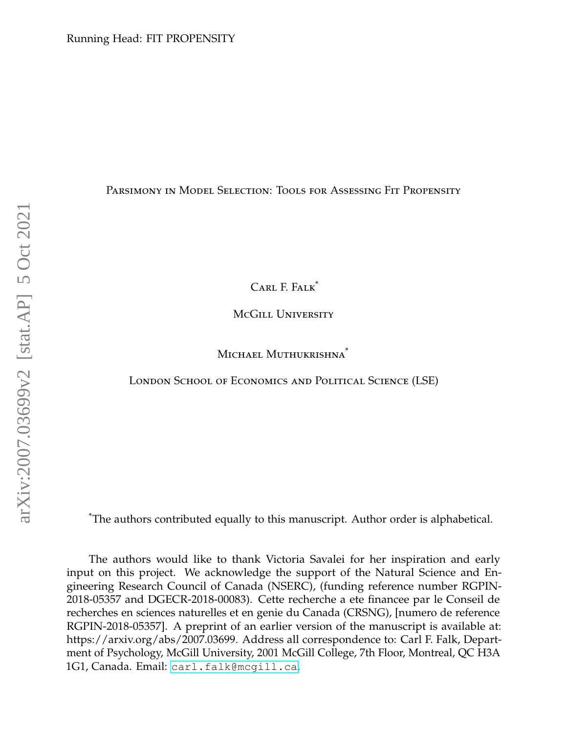<span id="page-0-0"></span>Parsimony in Model Selection: Tools for Assessing Fit Propensity

CARL F. FALK<sup>\*</sup>

McGill University

MICHAEL MUTHUKRISHNA<sup>\*</sup>

London School of Economics and Political Science (LSE)

\*The authors contributed equally to this manuscript. Author order is alphabetical.

The authors would like to thank Victoria Savalei for her inspiration and early input on this project. We acknowledge the support of the Natural Science and Engineering Research Council of Canada (NSERC), (funding reference number RGPIN-2018-05357 and DGECR-2018-00083). Cette recherche a ete financee par le Conseil de recherches en sciences naturelles et en genie du Canada (CRSNG), [numero de reference RGPIN-2018-05357]. A preprint of an earlier version of the manuscript is available at: https://arxiv.org/abs/2007.03699. Address all correspondence to: Carl F. Falk, Department of Psychology, McGill University, 2001 McGill College, 7th Floor, Montreal, QC H3A 1G1, Canada. Email: [carl.falk@mcgill.ca](mailto:carl.falk@mcgill.ca).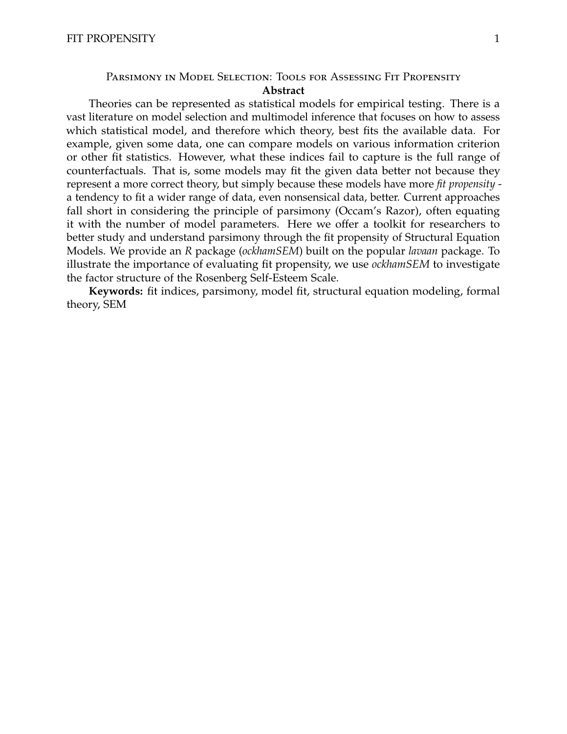# Parsimony in Model Selection: Tools for Assessing Fit Propensity **Abstract**

Theories can be represented as statistical models for empirical testing. There is a vast literature on model selection and multimodel inference that focuses on how to assess which statistical model, and therefore which theory, best fits the available data. For example, given some data, one can compare models on various information criterion or other fit statistics. However, what these indices fail to capture is the full range of counterfactuals. That is, some models may fit the given data better not because they represent a more correct theory, but simply because these models have more *fit propensity* a tendency to fit a wider range of data, even nonsensical data, better. Current approaches fall short in considering the principle of parsimony (Occam's Razor), often equating it with the number of model parameters. Here we offer a toolkit for researchers to better study and understand parsimony through the fit propensity of Structural Equation Models. We provide an *R* package (*ockhamSEM*) built on the popular *lavaan* package. To illustrate the importance of evaluating fit propensity, we use *ockhamSEM* to investigate the factor structure of the Rosenberg Self-Esteem Scale.

**Keywords:** fit indices, parsimony, model fit, structural equation modeling, formal theory, SEM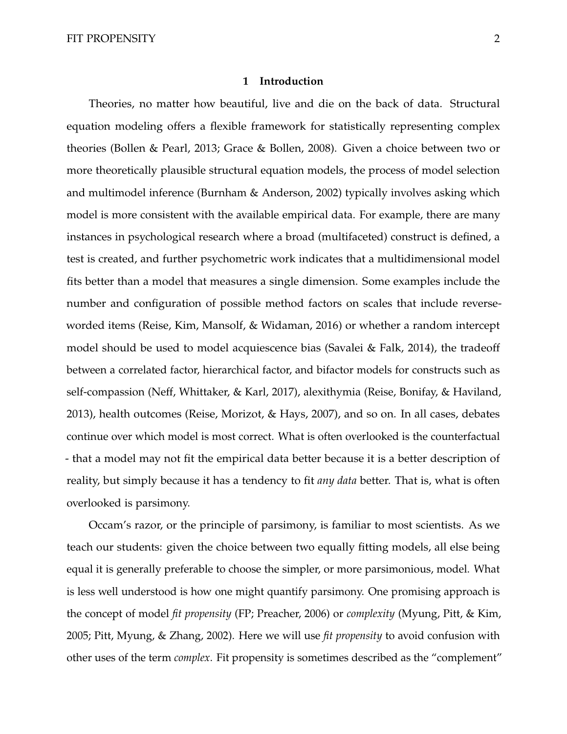### **1 Introduction**

Theories, no matter how beautiful, live and die on the back of data. Structural equation modeling offers a flexible framework for statistically representing complex theories (Bollen & Pearl, 2013; Grace & Bollen, 2008). Given a choice between two or more theoretically plausible structural equation models, the process of model selection and multimodel inference (Burnham & Anderson, 2002) typically involves asking which model is more consistent with the available empirical data. For example, there are many instances in psychological research where a broad (multifaceted) construct is defined, a test is created, and further psychometric work indicates that a multidimensional model fits better than a model that measures a single dimension. Some examples include the number and configuration of possible method factors on scales that include reverseworded items (Reise, Kim, Mansolf, & Widaman, 2016) or whether a random intercept model should be used to model acquiescence bias (Savalei & Falk, 2014), the tradeoff between a correlated factor, hierarchical factor, and bifactor models for constructs such as self-compassion (Neff, Whittaker, & Karl, 2017), alexithymia (Reise, Bonifay, & Haviland, 2013), health outcomes (Reise, Morizot, & Hays, 2007), and so on. In all cases, debates continue over which model is most correct. What is often overlooked is the counterfactual - that a model may not fit the empirical data better because it is a better description of reality, but simply because it has a tendency to fit *any data* better. That is, what is often overlooked is parsimony.

Occam's razor, or the principle of parsimony, is familiar to most scientists. As we teach our students: given the choice between two equally fitting models, all else being equal it is generally preferable to choose the simpler, or more parsimonious, model. What is less well understood is how one might quantify parsimony. One promising approach is the concept of model *fit propensity* (FP; Preacher, 2006) or *complexity* (Myung, Pitt, & Kim, 2005; Pitt, Myung, & Zhang, 2002). Here we will use *fit propensity* to avoid confusion with other uses of the term *complex*. Fit propensity is sometimes described as the "complement"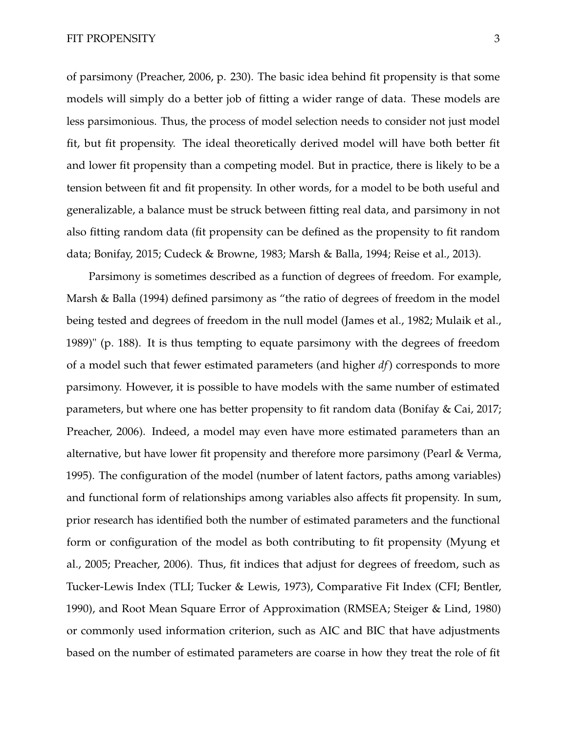#### FIT PROPENSITY 3

of parsimony (Preacher, 2006, p. 230). The basic idea behind fit propensity is that some models will simply do a better job of fitting a wider range of data. These models are less parsimonious. Thus, the process of model selection needs to consider not just model fit, but fit propensity. The ideal theoretically derived model will have both better fit and lower fit propensity than a competing model. But in practice, there is likely to be a tension between fit and fit propensity. In other words, for a model to be both useful and generalizable, a balance must be struck between fitting real data, and parsimony in not also fitting random data (fit propensity can be defined as the propensity to fit random data; Bonifay, 2015; Cudeck & Browne, 1983; Marsh & Balla, 1994; Reise et al., 2013).

Parsimony is sometimes described as a function of degrees of freedom. For example, Marsh & Balla (1994) defined parsimony as "the ratio of degrees of freedom in the model being tested and degrees of freedom in the null model (James et al., 1982; Mulaik et al., 1989)" (p. 188). It is thus tempting to equate parsimony with the degrees of freedom of a model such that fewer estimated parameters (and higher *df*) corresponds to more parsimony. However, it is possible to have models with the same number of estimated parameters, but where one has better propensity to fit random data (Bonifay & Cai, 2017; Preacher, 2006). Indeed, a model may even have more estimated parameters than an alternative, but have lower fit propensity and therefore more parsimony (Pearl & Verma, 1995). The configuration of the model (number of latent factors, paths among variables) and functional form of relationships among variables also affects fit propensity. In sum, prior research has identified both the number of estimated parameters and the functional form or configuration of the model as both contributing to fit propensity (Myung et al., 2005; Preacher, 2006). Thus, fit indices that adjust for degrees of freedom, such as Tucker-Lewis Index (TLI; Tucker & Lewis, 1973), Comparative Fit Index (CFI; Bentler, 1990), and Root Mean Square Error of Approximation (RMSEA; Steiger & Lind, 1980) or commonly used information criterion, such as AIC and BIC that have adjustments based on the number of estimated parameters are coarse in how they treat the role of fit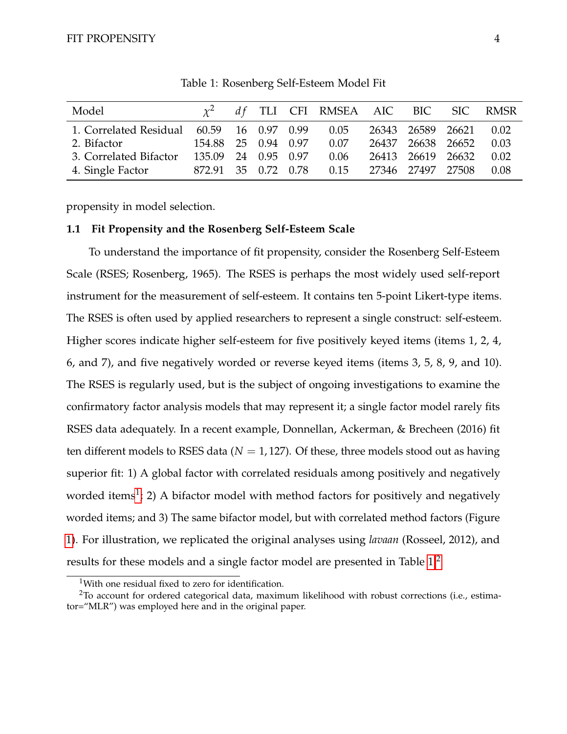<span id="page-4-0"></span>

| Model                                     |                     |  | $\chi^2$ df TLI CFI RMSEA AIC BIC SIC RMSR |                   |      |
|-------------------------------------------|---------------------|--|--------------------------------------------|-------------------|------|
| 1. Correlated Residual 60.59 16 0.97 0.99 |                     |  | 0.05                                       | 26343 26589 26621 | 0.02 |
| 2. Bifactor                               | 154.88 25 0.94 0.97 |  | 0.07                                       | 26437 26638 26652 | 0.03 |
| 3. Correlated Bifactor                    | 135.09 24 0.95 0.97 |  | 0.06                                       | 26413 26619 26632 | 0.02 |
| 4. Single Factor                          | 872.91 35 0.72 0.78 |  | 0.15                                       | 27346 27497 27508 | 0.08 |

Table 1: Rosenberg Self-Esteem Model Fit

propensity in model selection.

# **1.1 Fit Propensity and the Rosenberg Self-Esteem Scale**

To understand the importance of fit propensity, consider the Rosenberg Self-Esteem Scale (RSES; Rosenberg, 1965). The RSES is perhaps the most widely used self-report instrument for the measurement of self-esteem. It contains ten 5-point Likert-type items. The RSES is often used by applied researchers to represent a single construct: self-esteem. Higher scores indicate higher self-esteem for five positively keyed items (items 1, 2, 4, 6, and 7), and five negatively worded or reverse keyed items (items 3, 5, 8, 9, and 10). The RSES is regularly used, but is the subject of ongoing investigations to examine the confirmatory factor analysis models that may represent it; a single factor model rarely fits RSES data adequately. In a recent example, Donnellan, Ackerman, & Brecheen (2016) fit ten different models to RSES data ( $N = 1,127$ ). Of these, three models stood out as having superior fit: 1) A global factor with correlated residuals among positively and negatively worded items<sup>[1](#page-0-0)</sup>; 2) A bifactor model with method factors for positively and negatively worded items; and 3) The same bifactor model, but with correlated method factors (Figure [1\)](#page-5-0). For illustration, we replicated the original analyses using *lavaan* (Rosseel, 2012), and results for these models and a single factor model are presented in Table [1.](#page-4-0)[2](#page-0-0)

<sup>&</sup>lt;sup>1</sup>With one residual fixed to zero for identification.

 $^{2}$ To account for ordered categorical data, maximum likelihood with robust corrections (i.e., estimator="MLR") was employed here and in the original paper.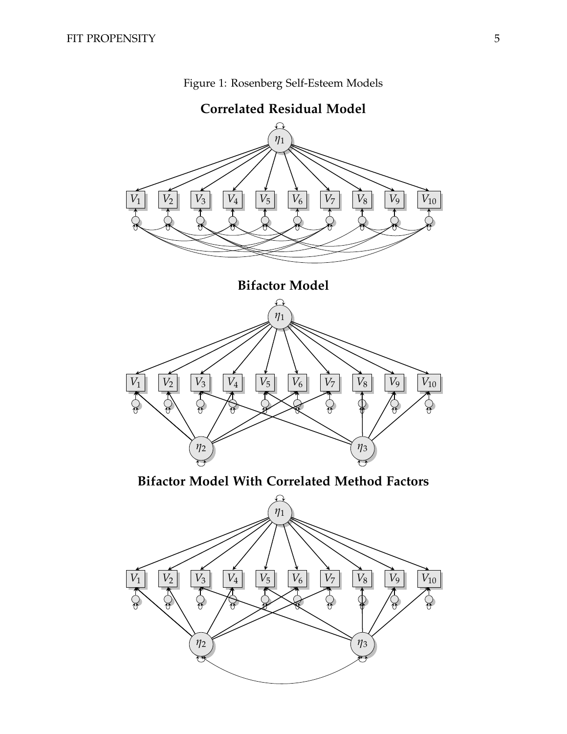<span id="page-5-0"></span>

Figure 1: Rosenberg Self-Esteem Models

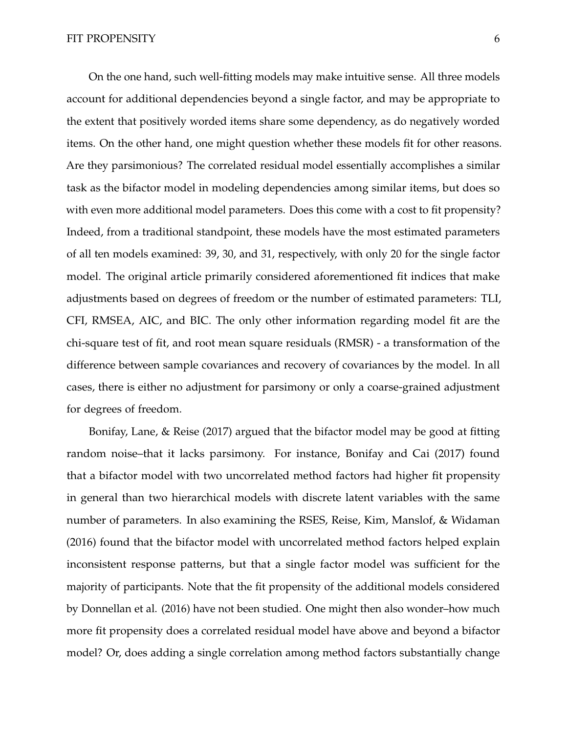On the one hand, such well-fitting models may make intuitive sense. All three models account for additional dependencies beyond a single factor, and may be appropriate to the extent that positively worded items share some dependency, as do negatively worded items. On the other hand, one might question whether these models fit for other reasons. Are they parsimonious? The correlated residual model essentially accomplishes a similar task as the bifactor model in modeling dependencies among similar items, but does so with even more additional model parameters. Does this come with a cost to fit propensity? Indeed, from a traditional standpoint, these models have the most estimated parameters of all ten models examined: 39, 30, and 31, respectively, with only 20 for the single factor model. The original article primarily considered aforementioned fit indices that make adjustments based on degrees of freedom or the number of estimated parameters: TLI, CFI, RMSEA, AIC, and BIC. The only other information regarding model fit are the chi-square test of fit, and root mean square residuals (RMSR) - a transformation of the difference between sample covariances and recovery of covariances by the model. In all cases, there is either no adjustment for parsimony or only a coarse-grained adjustment for degrees of freedom.

Bonifay, Lane, & Reise (2017) argued that the bifactor model may be good at fitting random noise–that it lacks parsimony. For instance, Bonifay and Cai (2017) found that a bifactor model with two uncorrelated method factors had higher fit propensity in general than two hierarchical models with discrete latent variables with the same number of parameters. In also examining the RSES, Reise, Kim, Manslof, & Widaman (2016) found that the bifactor model with uncorrelated method factors helped explain inconsistent response patterns, but that a single factor model was sufficient for the majority of participants. Note that the fit propensity of the additional models considered by Donnellan et al. (2016) have not been studied. One might then also wonder–how much more fit propensity does a correlated residual model have above and beyond a bifactor model? Or, does adding a single correlation among method factors substantially change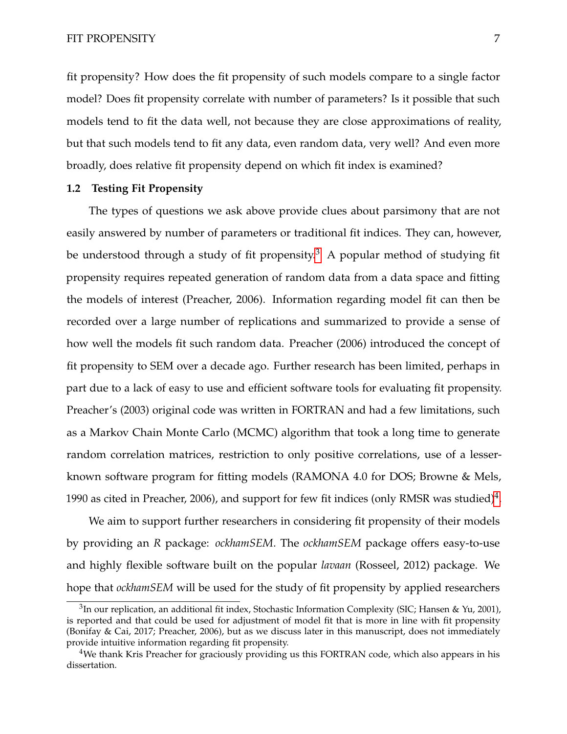fit propensity? How does the fit propensity of such models compare to a single factor model? Does fit propensity correlate with number of parameters? Is it possible that such models tend to fit the data well, not because they are close approximations of reality, but that such models tend to fit any data, even random data, very well? And even more broadly, does relative fit propensity depend on which fit index is examined?

# **1.2 Testing Fit Propensity**

The types of questions we ask above provide clues about parsimony that are not easily answered by number of parameters or traditional fit indices. They can, however, be understood through a study of fit propensity.<sup>[3](#page-0-0)</sup> A popular method of studying fit propensity requires repeated generation of random data from a data space and fitting the models of interest (Preacher, 2006). Information regarding model fit can then be recorded over a large number of replications and summarized to provide a sense of how well the models fit such random data. Preacher (2006) introduced the concept of fit propensity to SEM over a decade ago. Further research has been limited, perhaps in part due to a lack of easy to use and efficient software tools for evaluating fit propensity. Preacher's (2003) original code was written in FORTRAN and had a few limitations, such as a Markov Chain Monte Carlo (MCMC) algorithm that took a long time to generate random correlation matrices, restriction to only positive correlations, use of a lesserknown software program for fitting models (RAMONA 4.0 for DOS; Browne & Mels, 1990 as cited in Preacher, 2006), and support for few fit indices (only RMSR was studied)<sup>[4](#page-0-0)</sup>.

We aim to support further researchers in considering fit propensity of their models by providing an *R* package: *ockhamSEM*. The *ockhamSEM* package offers easy-to-use and highly flexible software built on the popular *lavaan* (Rosseel, 2012) package. We hope that *ockhamSEM* will be used for the study of fit propensity by applied researchers

<sup>&</sup>lt;sup>3</sup>In our replication, an additional fit index, Stochastic Information Complexity (SIC; Hansen & Yu, 2001), is reported and that could be used for adjustment of model fit that is more in line with fit propensity (Bonifay & Cai, 2017; Preacher, 2006), but as we discuss later in this manuscript, does not immediately provide intuitive information regarding fit propensity.

<sup>&</sup>lt;sup>4</sup>We thank Kris Preacher for graciously providing us this FORTRAN code, which also appears in his dissertation.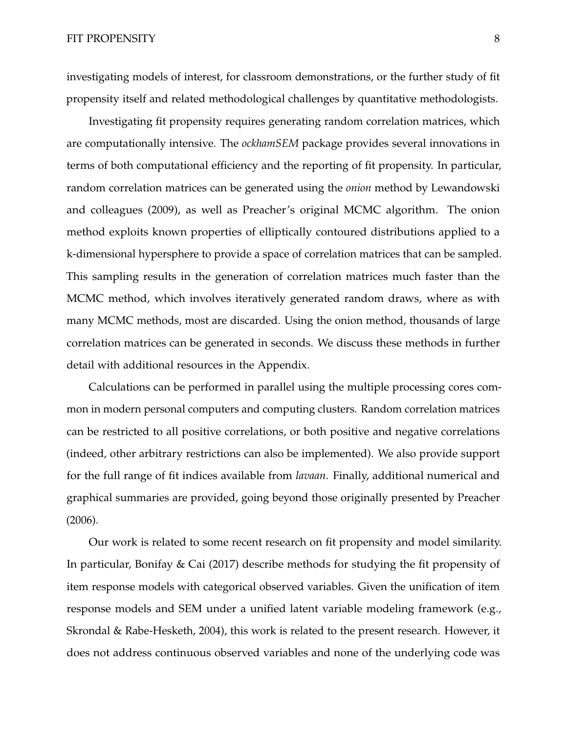investigating models of interest, for classroom demonstrations, or the further study of fit propensity itself and related methodological challenges by quantitative methodologists.

Investigating fit propensity requires generating random correlation matrices, which are computationally intensive. The *ockhamSEM* package provides several innovations in terms of both computational efficiency and the reporting of fit propensity. In particular, random correlation matrices can be generated using the *onion* method by Lewandowski and colleagues (2009), as well as Preacher's original MCMC algorithm. The onion method exploits known properties of elliptically contoured distributions applied to a k-dimensional hypersphere to provide a space of correlation matrices that can be sampled. This sampling results in the generation of correlation matrices much faster than the MCMC method, which involves iteratively generated random draws, where as with many MCMC methods, most are discarded. Using the onion method, thousands of large correlation matrices can be generated in seconds. We discuss these methods in further detail with additional resources in the Appendix.

Calculations can be performed in parallel using the multiple processing cores common in modern personal computers and computing clusters. Random correlation matrices can be restricted to all positive correlations, or both positive and negative correlations (indeed, other arbitrary restrictions can also be implemented). We also provide support for the full range of fit indices available from *lavaan*. Finally, additional numerical and graphical summaries are provided, going beyond those originally presented by Preacher (2006).

Our work is related to some recent research on fit propensity and model similarity. In particular, Bonifay & Cai (2017) describe methods for studying the fit propensity of item response models with categorical observed variables. Given the unification of item response models and SEM under a unified latent variable modeling framework (e.g., Skrondal & Rabe-Hesketh, 2004), this work is related to the present research. However, it does not address continuous observed variables and none of the underlying code was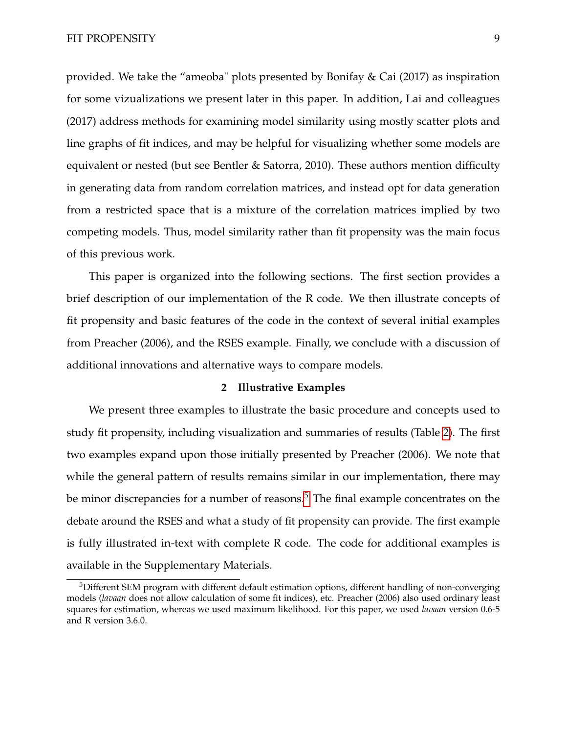provided. We take the "ameoba" plots presented by Bonifay & Cai (2017) as inspiration for some vizualizations we present later in this paper. In addition, Lai and colleagues (2017) address methods for examining model similarity using mostly scatter plots and line graphs of fit indices, and may be helpful for visualizing whether some models are equivalent or nested (but see Bentler & Satorra, 2010). These authors mention difficulty in generating data from random correlation matrices, and instead opt for data generation from a restricted space that is a mixture of the correlation matrices implied by two competing models. Thus, model similarity rather than fit propensity was the main focus of this previous work.

This paper is organized into the following sections. The first section provides a brief description of our implementation of the R code. We then illustrate concepts of fit propensity and basic features of the code in the context of several initial examples from Preacher (2006), and the RSES example. Finally, we conclude with a discussion of additional innovations and alternative ways to compare models.

# **2 Illustrative Examples**

We present three examples to illustrate the basic procedure and concepts used to study fit propensity, including visualization and summaries of results (Table [2\)](#page-10-0). The first two examples expand upon those initially presented by Preacher (2006). We note that while the general pattern of results remains similar in our implementation, there may be minor discrepancies for a number of reasons.<sup>[5](#page-0-0)</sup> The final example concentrates on the debate around the RSES and what a study of fit propensity can provide. The first example is fully illustrated in-text with complete R code. The code for additional examples is available in the Supplementary Materials.

<sup>5</sup>Different SEM program with different default estimation options, different handling of non-converging models (*lavaan* does not allow calculation of some fit indices), etc. Preacher (2006) also used ordinary least squares for estimation, whereas we used maximum likelihood. For this paper, we used *lavaan* version 0.6-5 and R version 3.6.0.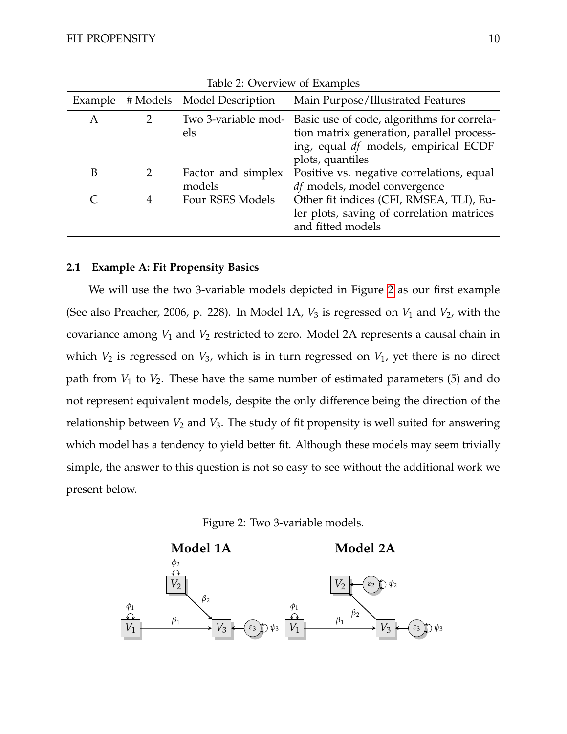<span id="page-10-0"></span>

| Example |               | # Models Model Description   | Main Purpose/Illustrated Features                                                                                                                                       |
|---------|---------------|------------------------------|-------------------------------------------------------------------------------------------------------------------------------------------------------------------------|
| A       | $\mathcal{P}$ | els                          | Two 3-variable mod- Basic use of code, algorithms for correla-<br>tion matrix generation, parallel process-<br>ing, equal df models, empirical ECDF<br>plots, quantiles |
| B       | $\mathcal{P}$ | Factor and simplex<br>models | Positive vs. negative correlations, equal<br>df models, model convergence                                                                                               |
|         | 4             | Four RSES Models             | Other fit indices (CFI, RMSEA, TLI), Eu-<br>ler plots, saving of correlation matrices<br>and fitted models                                                              |

Table 2: Overview of Examples

# **2.1 Example A: Fit Propensity Basics**

We will use the two 3-variable models depicted in Figure [2](#page-10-1) as our first example (See also Preacher, 2006, p. 228). In Model 1A,  $V_3$  is regressed on  $V_1$  and  $V_2$ , with the covariance among *V*<sup>1</sup> and *V*<sup>2</sup> restricted to zero. Model 2A represents a causal chain in which  $V_2$  is regressed on  $V_3$ , which is in turn regressed on  $V_1$ , yet there is no direct path from  $V_1$  to  $V_2$ . These have the same number of estimated parameters (5) and do not represent equivalent models, despite the only difference being the direction of the relationship between  $V_2$  and  $V_3$ . The study of fit propensity is well suited for answering which model has a tendency to yield better fit. Although these models may seem trivially simple, the answer to this question is not so easy to see without the additional work we present below.



<span id="page-10-1"></span>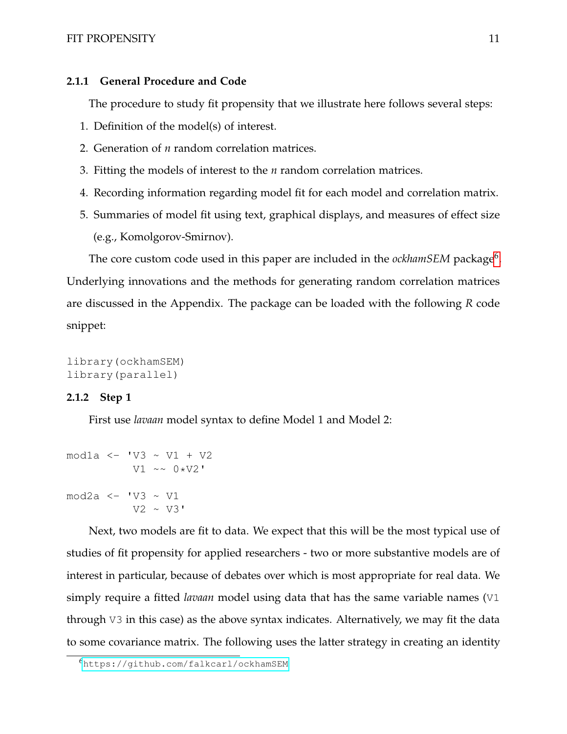# FIT PROPENSITY 11

# **2.1.1 General Procedure and Code**

The procedure to study fit propensity that we illustrate here follows several steps:

- 1. Definition of the model(s) of interest.
- 2. Generation of *n* random correlation matrices.
- 3. Fitting the models of interest to the *n* random correlation matrices.
- 4. Recording information regarding model fit for each model and correlation matrix.
- 5. Summaries of model fit using text, graphical displays, and measures of effect size (e.g., Komolgorov-Smirnov).

The core custom code used in this paper are included in the *ockhamSEM* package<sup>[6](#page-0-0)</sup>. Underlying innovations and the methods for generating random correlation matrices are discussed in the Appendix. The package can be loaded with the following *R* code snippet:

```
library(ockhamSEM)
library(parallel)
```
# **2.1.2 Step 1**

First use *lavaan* model syntax to define Model 1 and Model 2:

```
mod1a <- 'V3 ~ V1 + V2
         V1 \sim 0*V2'
mod2a <- 'V3 ~ V1
          V2 \sim V3
```
Next, two models are fit to data. We expect that this will be the most typical use of studies of fit propensity for applied researchers - two or more substantive models are of interest in particular, because of debates over which is most appropriate for real data. We simply require a fitted *lavaan* model using data that has the same variable names (V1 through V3 in this case) as the above syntax indicates. Alternatively, we may fit the data to some covariance matrix. The following uses the latter strategy in creating an identity

<sup>6</sup><https://github.com/falkcarl/ockhamSEM>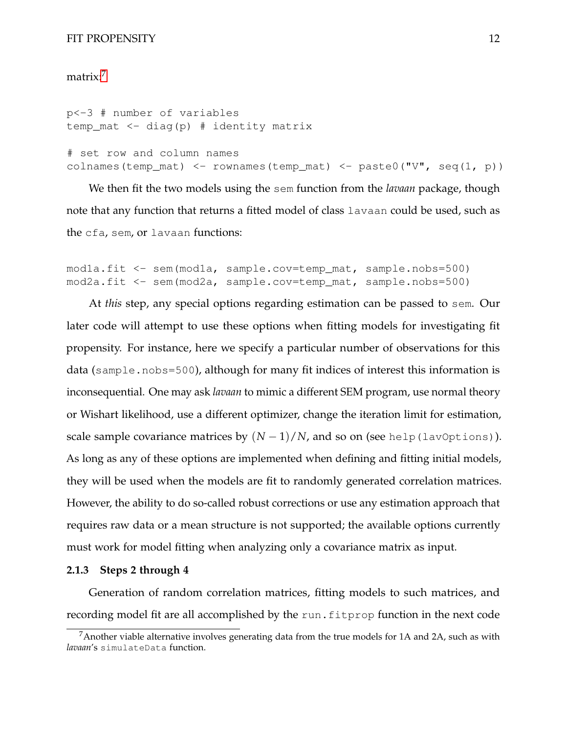#### FIT PROPENSITY 12

# matrix:<sup>[7](#page-0-0)</sup>

p<-3 # number of variables temp\_mat  $\leq -$  diag(p) # identity matrix

# set row and column names colnames(temp\_mat) <- rownames(temp\_mat) <- paste0(" $V''$ , seq(1, p))

We then fit the two models using the sem function from the *lavaan* package, though note that any function that returns a fitted model of class lavaan could be used, such as the cfa, sem, or lavaan functions:

mod1a.fit <- sem(mod1a, sample.cov=temp\_mat, sample.nobs=500) mod2a.fit <- sem(mod2a, sample.cov=temp\_mat, sample.nobs=500)

At *this* step, any special options regarding estimation can be passed to sem. Our later code will attempt to use these options when fitting models for investigating fit propensity. For instance, here we specify a particular number of observations for this data (sample.nobs=500), although for many fit indices of interest this information is inconsequential. One may ask *lavaan* to mimic a different SEM program, use normal theory or Wishart likelihood, use a different optimizer, change the iteration limit for estimation, scale sample covariance matrices by  $(N-1)/N$ , and so on (see help(lavOptions)). As long as any of these options are implemented when defining and fitting initial models, they will be used when the models are fit to randomly generated correlation matrices. However, the ability to do so-called robust corrections or use any estimation approach that requires raw data or a mean structure is not supported; the available options currently must work for model fitting when analyzing only a covariance matrix as input.

#### **2.1.3 Steps 2 through 4**

Generation of random correlation matrices, fitting models to such matrices, and recording model fit are all accomplished by the run.fitprop function in the next code

<sup>&</sup>lt;sup>7</sup>Another viable alternative involves generating data from the true models for 1A and 2A, such as with *lavaan*'s simulateData function.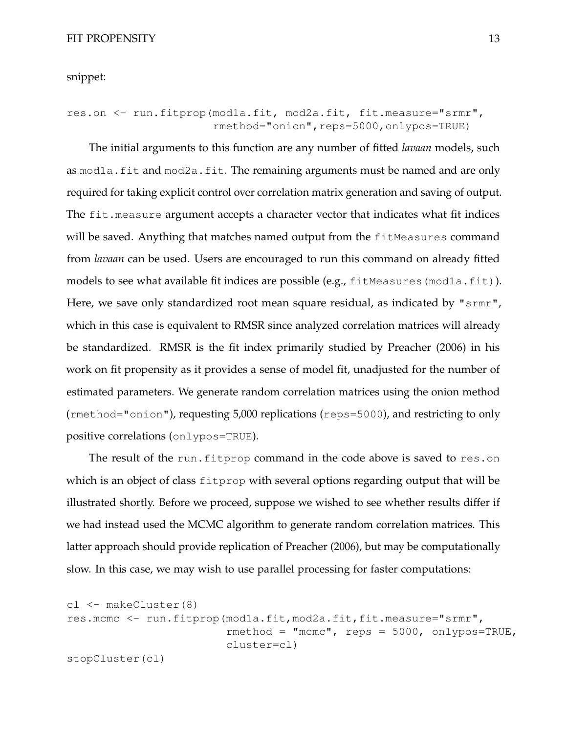snippet:

```
res.on <- run.fitprop(mod1a.fit, mod2a.fit, fit.measure="srmr",
                      rmethod="onion",reps=5000,onlypos=TRUE)
```
The initial arguments to this function are any number of fitted *lavaan* models, such as mod1a.fit and mod2a.fit. The remaining arguments must be named and are only required for taking explicit control over correlation matrix generation and saving of output. The fit. measure argument accepts a character vector that indicates what fit indices will be saved. Anything that matches named output from the fitMeasures command from *lavaan* can be used. Users are encouraged to run this command on already fitted models to see what available fit indices are possible (e.g., fitMeasures (mod1a.fit)). Here, we save only standardized root mean square residual, as indicated by "srmr", which in this case is equivalent to RMSR since analyzed correlation matrices will already be standardized. RMSR is the fit index primarily studied by Preacher (2006) in his work on fit propensity as it provides a sense of model fit, unadjusted for the number of estimated parameters. We generate random correlation matrices using the onion method (rmethod="onion"), requesting 5,000 replications (reps=5000), and restricting to only positive correlations (onlypos=TRUE).

The result of the run.fitprop command in the code above is saved to res.on which is an object of class fitprop with several options regarding output that will be illustrated shortly. Before we proceed, suppose we wished to see whether results differ if we had instead used the MCMC algorithm to generate random correlation matrices. This latter approach should provide replication of Preacher (2006), but may be computationally slow. In this case, we may wish to use parallel processing for faster computations:

```
cl <- makeCluster(8)
res.mcmc <- run.fitprop(mod1a.fit,mod2a.fit,fit.measure="srmr",
                        rmethod = "mcmc", reps = 5000, onlypos=TRUE,
                        cluster=cl)
stopCluster(cl)
```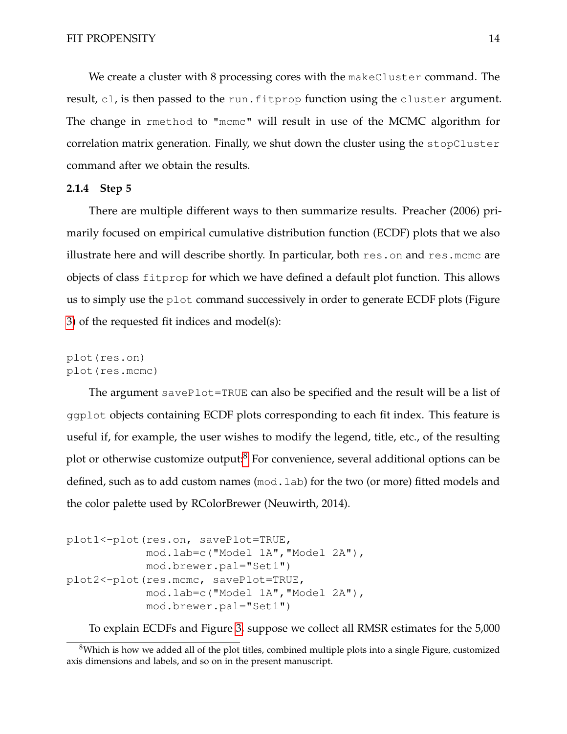We create a cluster with 8 processing cores with the makeCluster command. The result, cl, is then passed to the run.fitprop function using the cluster argument. The change in rmethod to "mcmc" will result in use of the MCMC algorithm for correlation matrix generation. Finally, we shut down the cluster using the stopCluster command after we obtain the results.

# **2.1.4 Step 5**

There are multiple different ways to then summarize results. Preacher (2006) primarily focused on empirical cumulative distribution function (ECDF) plots that we also illustrate here and will describe shortly. In particular, both res.on and res.mcmc are objects of class fitprop for which we have defined a default plot function. This allows us to simply use the plot command successively in order to generate ECDF plots (Figure [3\)](#page-15-0) of the requested fit indices and model(s):

```
plot(res.on)
plot(res.mcmc)
```
The argument savePlot=TRUE can also be specified and the result will be a list of ggplot objects containing ECDF plots corresponding to each fit index. This feature is useful if, for example, the user wishes to modify the legend, title, etc., of the resulting plot or otherwise customize output:<sup>[8](#page-0-0)</sup> For convenience, several additional options can be defined, such as to add custom names (mod.lab) for the two (or more) fitted models and the color palette used by RColorBrewer (Neuwirth, 2014).

```
plot1<-plot(res.on, savePlot=TRUE,
            mod.lab=c("Model 1A","Model 2A"),
            mod.brewer.pal="Set1")
plot2<-plot(res.mcmc, savePlot=TRUE,
            mod.lab=c("Model 1A","Model 2A"),
            mod.brewer.pal="Set1")
```
To explain ECDFs and Figure [3,](#page-15-0) suppose we collect all RMSR estimates for the 5,000

<sup>&</sup>lt;sup>8</sup>Which is how we added all of the plot titles, combined multiple plots into a single Figure, customized axis dimensions and labels, and so on in the present manuscript.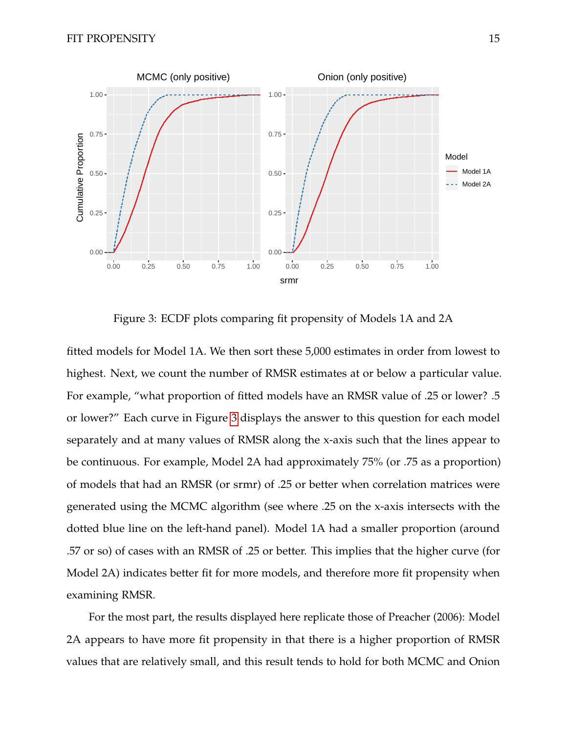

<span id="page-15-0"></span>Figure 3: ECDF plots comparing fit propensity of Models 1A and 2A

fitted models for Model 1A. We then sort these 5,000 estimates in order from lowest to highest. Next, we count the number of RMSR estimates at or below a particular value. For example, "what proportion of fitted models have an RMSR value of .25 or lower? .5 or lower?" Each curve in Figure [3](#page-15-0) displays the answer to this question for each model separately and at many values of RMSR along the x-axis such that the lines appear to be continuous. For example, Model 2A had approximately 75% (or .75 as a proportion) of models that had an RMSR (or srmr) of .25 or better when correlation matrices were generated using the MCMC algorithm (see where .25 on the x-axis intersects with the dotted blue line on the left-hand panel). Model 1A had a smaller proportion (around .57 or so) of cases with an RMSR of .25 or better. This implies that the higher curve (for Model 2A) indicates better fit for more models, and therefore more fit propensity when examining RMSR.

For the most part, the results displayed here replicate those of Preacher (2006): Model 2A appears to have more fit propensity in that there is a higher proportion of RMSR values that are relatively small, and this result tends to hold for both MCMC and Onion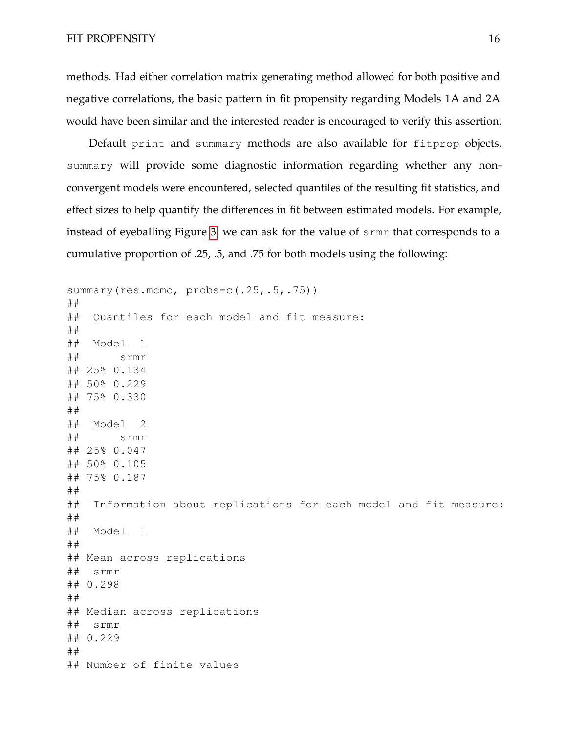methods. Had either correlation matrix generating method allowed for both positive and negative correlations, the basic pattern in fit propensity regarding Models 1A and 2A would have been similar and the interested reader is encouraged to verify this assertion.

Default print and summary methods are also available for fitprop objects. summary will provide some diagnostic information regarding whether any nonconvergent models were encountered, selected quantiles of the resulting fit statistics, and effect sizes to help quantify the differences in fit between estimated models. For example, instead of eyeballing Figure [3,](#page-15-0) we can ask for the value of srmr that corresponds to a cumulative proportion of .25, .5, and .75 for both models using the following:

summary(res.mcmc, probs=c(.25,.5,.75)) ## ## Quantiles for each model and fit measure: ## ## Model 1 ## srmr ## 25% 0.134 ## 50% 0.229 ## 75% 0.330 ## ## Model 2 ## srmr ## 25% 0.047 ## 50% 0.105 ## 75% 0.187 ## ## Information about replications for each model and fit measure: ## ## Model 1 ## ## Mean across replications ## srmr ## 0.298 ## ## Median across replications ## srmr ## 0.229 ## ## Number of finite values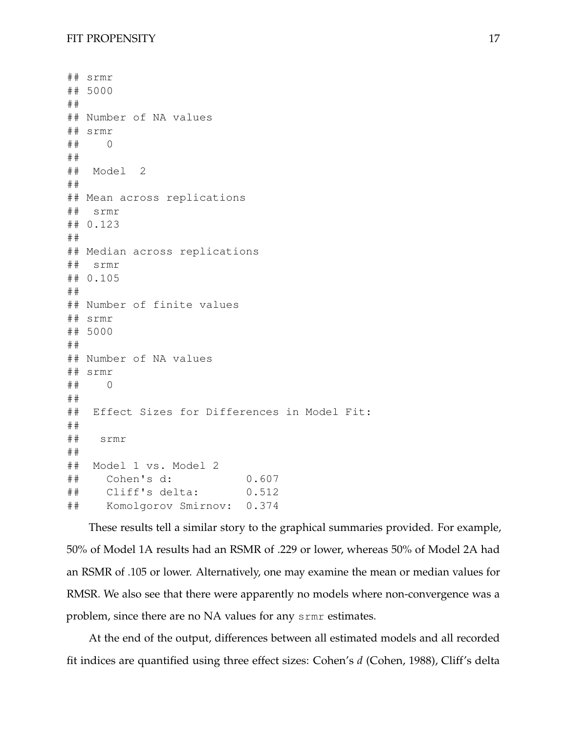```
## srmr
## 5000
##
## Number of NA values
## srmr
## 0
##
## Model 2
##
## Mean across replications
## srmr
## 0.123
##
## Median across replications
## srmr
## 0.105
##
## Number of finite values
## srmr
## 5000
##
## Number of NA values
## srmr
## 0
##
## Effect Sizes for Differences in Model Fit:
##
## srmr
##
## Model 1 vs. Model 2
## Cohen's d: 0.607
## Cliff's delta: 0.512
## Komolgorov Smirnov: 0.374
```
These results tell a similar story to the graphical summaries provided. For example, 50% of Model 1A results had an RSMR of .229 or lower, whereas 50% of Model 2A had an RSMR of .105 or lower. Alternatively, one may examine the mean or median values for RMSR. We also see that there were apparently no models where non-convergence was a problem, since there are no NA values for any srmr estimates.

At the end of the output, differences between all estimated models and all recorded fit indices are quantified using three effect sizes: Cohen's *d* (Cohen, 1988), Cliff's delta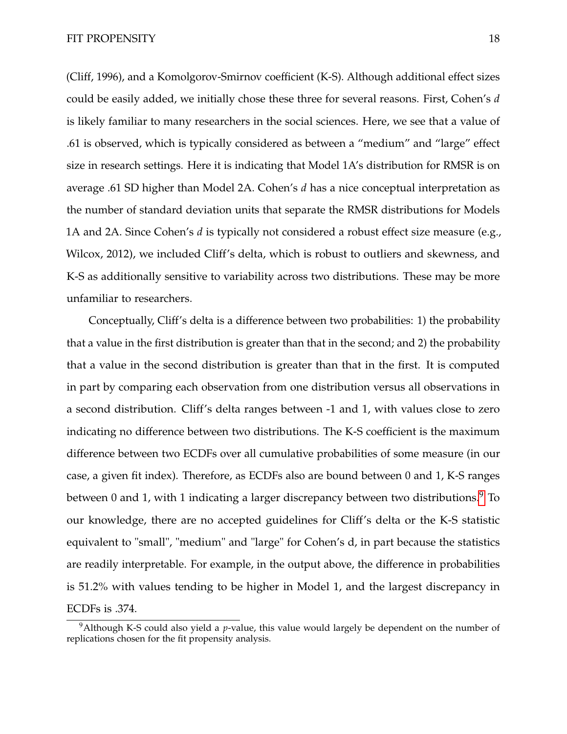(Cliff, 1996), and a Komolgorov-Smirnov coefficient (K-S). Although additional effect sizes could be easily added, we initially chose these three for several reasons. First, Cohen's *d* is likely familiar to many researchers in the social sciences. Here, we see that a value of .61 is observed, which is typically considered as between a "medium" and "large" effect size in research settings. Here it is indicating that Model 1A's distribution for RMSR is on average .61 SD higher than Model 2A. Cohen's *d* has a nice conceptual interpretation as the number of standard deviation units that separate the RMSR distributions for Models 1A and 2A. Since Cohen's *d* is typically not considered a robust effect size measure (e.g., Wilcox, 2012), we included Cliff's delta, which is robust to outliers and skewness, and K-S as additionally sensitive to variability across two distributions. These may be more unfamiliar to researchers.

Conceptually, Cliff's delta is a difference between two probabilities: 1) the probability that a value in the first distribution is greater than that in the second; and 2) the probability that a value in the second distribution is greater than that in the first. It is computed in part by comparing each observation from one distribution versus all observations in a second distribution. Cliff's delta ranges between -1 and 1, with values close to zero indicating no difference between two distributions. The K-S coefficient is the maximum difference between two ECDFs over all cumulative probabilities of some measure (in our case, a given fit index). Therefore, as ECDFs also are bound between 0 and 1, K-S ranges between 0 and 1, with 1 indicating a larger discrepancy between two distributions.<sup>[9](#page-0-0)</sup> To our knowledge, there are no accepted guidelines for Cliff's delta or the K-S statistic equivalent to "small", "medium" and "large" for Cohen's d, in part because the statistics are readily interpretable. For example, in the output above, the difference in probabilities is 51.2% with values tending to be higher in Model 1, and the largest discrepancy in ECDFs is .374.

<sup>&</sup>lt;sup>9</sup>Although K-S could also yield a *p*-value, this value would largely be dependent on the number of replications chosen for the fit propensity analysis.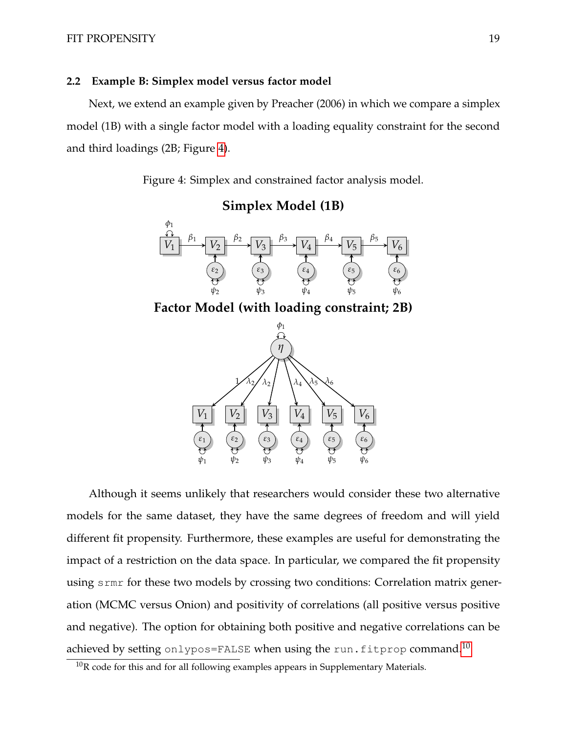# **2.2 Example B: Simplex model versus factor model**

<span id="page-19-0"></span>Next, we extend an example given by Preacher (2006) in which we compare a simplex model (1B) with a single factor model with a loading equality constraint for the second and third loadings (2B; Figure [4\)](#page-19-0).

Figure 4: Simplex and constrained factor analysis model.



Although it seems unlikely that researchers would consider these two alternative models for the same dataset, they have the same degrees of freedom and will yield different fit propensity. Furthermore, these examples are useful for demonstrating the impact of a restriction on the data space. In particular, we compared the fit propensity using srmr for these two models by crossing two conditions: Correlation matrix generation (MCMC versus Onion) and positivity of correlations (all positive versus positive and negative). The option for obtaining both positive and negative correlations can be achieved by setting onlypos=FALSE when using the run.fitprop command.<sup>[10](#page-0-0)</sup>

 $10R$  code for this and for all following examples appears in Supplementary Materials.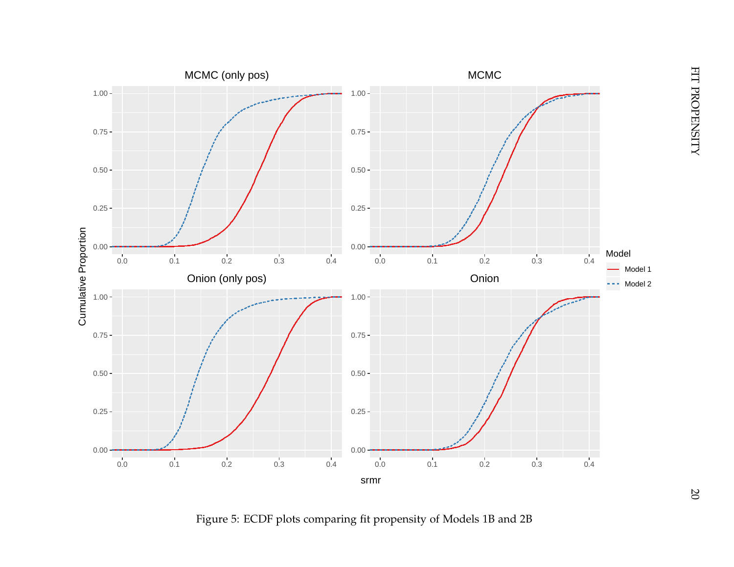<span id="page-20-0"></span>

Figure 5: ECDF plots comparing fit propensity of Models 1B and 2B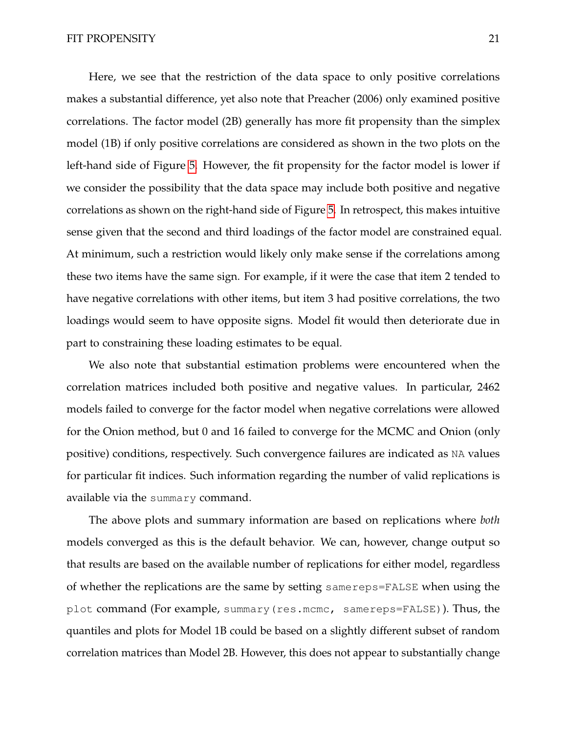Here, we see that the restriction of the data space to only positive correlations makes a substantial difference, yet also note that Preacher (2006) only examined positive correlations. The factor model (2B) generally has more fit propensity than the simplex model (1B) if only positive correlations are considered as shown in the two plots on the left-hand side of Figure [5.](#page-20-0) However, the fit propensity for the factor model is lower if we consider the possibility that the data space may include both positive and negative correlations as shown on the right-hand side of Figure [5.](#page-20-0) In retrospect, this makes intuitive sense given that the second and third loadings of the factor model are constrained equal. At minimum, such a restriction would likely only make sense if the correlations among these two items have the same sign. For example, if it were the case that item 2 tended to have negative correlations with other items, but item 3 had positive correlations, the two loadings would seem to have opposite signs. Model fit would then deteriorate due in part to constraining these loading estimates to be equal.

We also note that substantial estimation problems were encountered when the correlation matrices included both positive and negative values. In particular, 2462 models failed to converge for the factor model when negative correlations were allowed for the Onion method, but 0 and 16 failed to converge for the MCMC and Onion (only positive) conditions, respectively. Such convergence failures are indicated as NA values for particular fit indices. Such information regarding the number of valid replications is available via the summary command.

The above plots and summary information are based on replications where *both* models converged as this is the default behavior. We can, however, change output so that results are based on the available number of replications for either model, regardless of whether the replications are the same by setting samereps=FALSE when using the plot command (For example, summary(res.mcmc, samereps=FALSE)). Thus, the quantiles and plots for Model 1B could be based on a slightly different subset of random correlation matrices than Model 2B. However, this does not appear to substantially change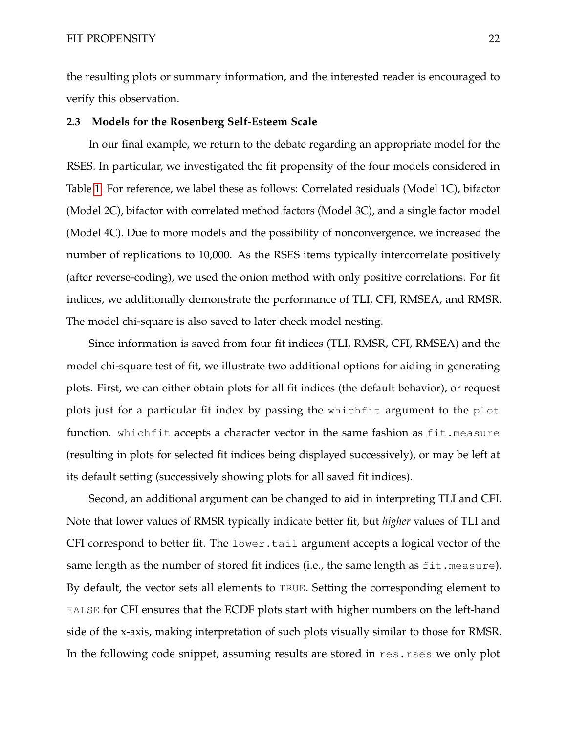the resulting plots or summary information, and the interested reader is encouraged to verify this observation.

### **2.3 Models for the Rosenberg Self-Esteem Scale**

In our final example, we return to the debate regarding an appropriate model for the RSES. In particular, we investigated the fit propensity of the four models considered in Table [1.](#page-4-0) For reference, we label these as follows: Correlated residuals (Model 1C), bifactor (Model 2C), bifactor with correlated method factors (Model 3C), and a single factor model (Model 4C). Due to more models and the possibility of nonconvergence, we increased the number of replications to 10,000. As the RSES items typically intercorrelate positively (after reverse-coding), we used the onion method with only positive correlations. For fit indices, we additionally demonstrate the performance of TLI, CFI, RMSEA, and RMSR. The model chi-square is also saved to later check model nesting.

Since information is saved from four fit indices (TLI, RMSR, CFI, RMSEA) and the model chi-square test of fit, we illustrate two additional options for aiding in generating plots. First, we can either obtain plots for all fit indices (the default behavior), or request plots just for a particular fit index by passing the whichfit argument to the plot function. whichfit accepts a character vector in the same fashion as fit.measure (resulting in plots for selected fit indices being displayed successively), or may be left at its default setting (successively showing plots for all saved fit indices).

Second, an additional argument can be changed to aid in interpreting TLI and CFI. Note that lower values of RMSR typically indicate better fit, but *higher* values of TLI and CFI correspond to better fit. The lower.tail argument accepts a logical vector of the same length as the number of stored fit indices (i.e., the same length as  $fit$ . measure). By default, the vector sets all elements to TRUE. Setting the corresponding element to FALSE for CFI ensures that the ECDF plots start with higher numbers on the left-hand side of the x-axis, making interpretation of such plots visually similar to those for RMSR. In the following code snippet, assuming results are stored in res.rses we only plot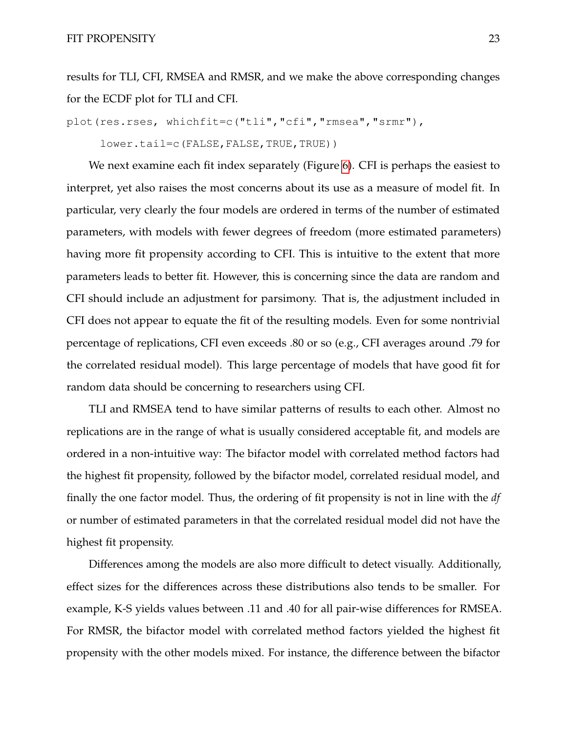results for TLI, CFI, RMSEA and RMSR, and we make the above corresponding changes for the ECDF plot for TLI and CFI.

```
plot(res.rses, whichfit=c("tli","cfi","rmsea","srmr"),
```
lower.tail=c(FALSE,FALSE,TRUE,TRUE))

We next examine each fit index separately (Figure [6\)](#page-24-0). CFI is perhaps the easiest to interpret, yet also raises the most concerns about its use as a measure of model fit. In particular, very clearly the four models are ordered in terms of the number of estimated parameters, with models with fewer degrees of freedom (more estimated parameters) having more fit propensity according to CFI. This is intuitive to the extent that more parameters leads to better fit. However, this is concerning since the data are random and CFI should include an adjustment for parsimony. That is, the adjustment included in CFI does not appear to equate the fit of the resulting models. Even for some nontrivial percentage of replications, CFI even exceeds .80 or so (e.g., CFI averages around .79 for the correlated residual model). This large percentage of models that have good fit for random data should be concerning to researchers using CFI.

TLI and RMSEA tend to have similar patterns of results to each other. Almost no replications are in the range of what is usually considered acceptable fit, and models are ordered in a non-intuitive way: The bifactor model with correlated method factors had the highest fit propensity, followed by the bifactor model, correlated residual model, and finally the one factor model. Thus, the ordering of fit propensity is not in line with the *df* or number of estimated parameters in that the correlated residual model did not have the highest fit propensity.

Differences among the models are also more difficult to detect visually. Additionally, effect sizes for the differences across these distributions also tends to be smaller. For example, K-S yields values between .11 and .40 for all pair-wise differences for RMSEA. For RMSR, the bifactor model with correlated method factors yielded the highest fit propensity with the other models mixed. For instance, the difference between the bifactor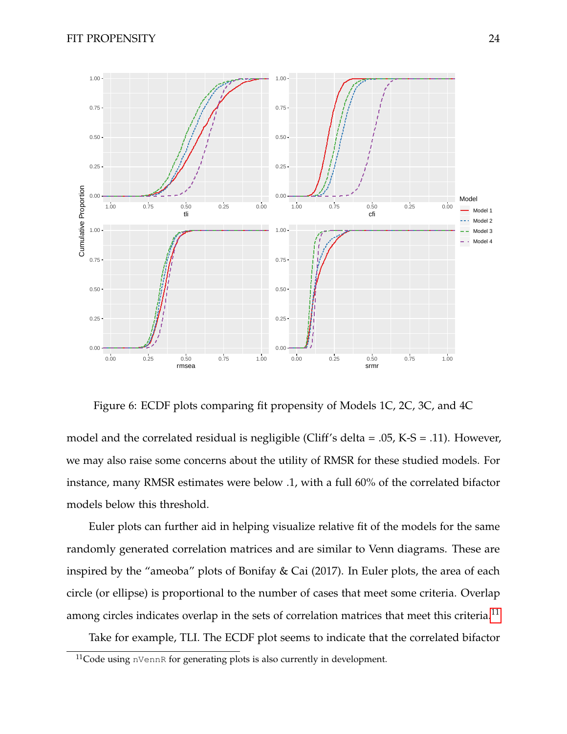

<span id="page-24-0"></span>Figure 6: ECDF plots comparing fit propensity of Models 1C, 2C, 3C, and 4C

model and the correlated residual is negligible (Cliff's delta = .05, K-S = .11). However, we may also raise some concerns about the utility of RMSR for these studied models. For instance, many RMSR estimates were below .1, with a full 60% of the correlated bifactor models below this threshold.

Euler plots can further aid in helping visualize relative fit of the models for the same randomly generated correlation matrices and are similar to Venn diagrams. These are inspired by the "ameoba" plots of Bonifay & Cai (2017). In Euler plots, the area of each circle (or ellipse) is proportional to the number of cases that meet some criteria. Overlap among circles indicates overlap in the sets of correlation matrices that meet this criteria.<sup>[11](#page-0-0)</sup>

Take for example, TLI. The ECDF plot seems to indicate that the correlated bifactor

 $11$ Code using nVennR for generating plots is also currently in development.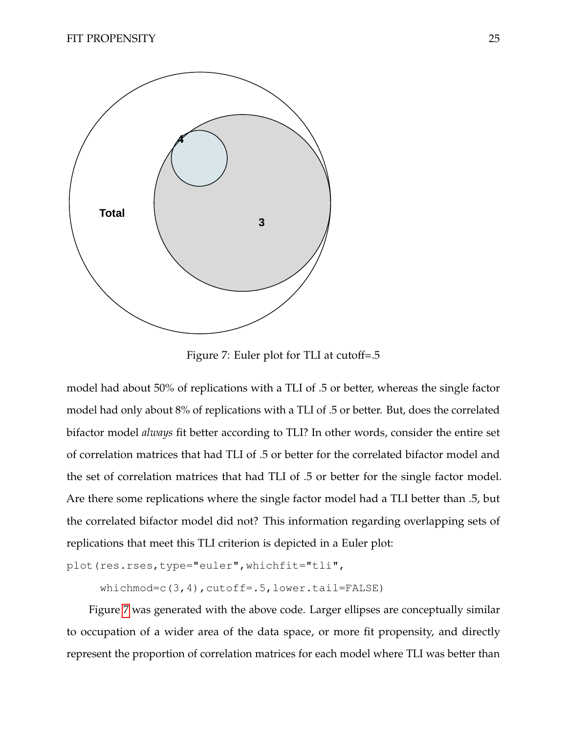

<span id="page-25-0"></span>Figure 7: Euler plot for TLI at cutoff=.5

model had about 50% of replications with a TLI of .5 or better, whereas the single factor model had only about 8% of replications with a TLI of .5 or better. But, does the correlated bifactor model *always* fit better according to TLI? In other words, consider the entire set of correlation matrices that had TLI of .5 or better for the correlated bifactor model and the set of correlation matrices that had TLI of .5 or better for the single factor model. Are there some replications where the single factor model had a TLI better than .5, but the correlated bifactor model did not? This information regarding overlapping sets of replications that meet this TLI criterion is depicted in a Euler plot:

```
plot(res.rses,type="euler",whichfit="tli",
```
whichmod=c(3,4),cutoff=.5,lower.tail=FALSE)

Figure [7](#page-25-0) was generated with the above code. Larger ellipses are conceptually similar to occupation of a wider area of the data space, or more fit propensity, and directly represent the proportion of correlation matrices for each model where TLI was better than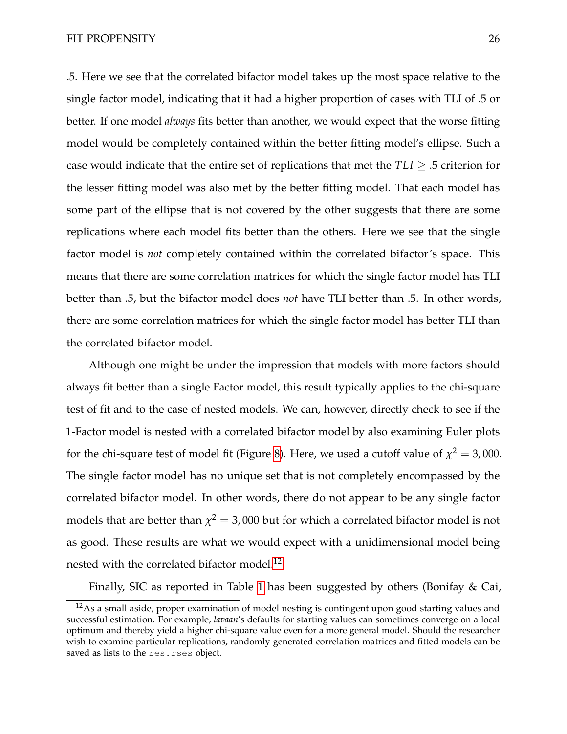.5. Here we see that the correlated bifactor model takes up the most space relative to the single factor model, indicating that it had a higher proportion of cases with TLI of .5 or better. If one model *always* fits better than another, we would expect that the worse fitting model would be completely contained within the better fitting model's ellipse. Such a case would indicate that the entire set of replications that met the  $TLI \geq .5$  criterion for the lesser fitting model was also met by the better fitting model. That each model has some part of the ellipse that is not covered by the other suggests that there are some replications where each model fits better than the others. Here we see that the single factor model is *not* completely contained within the correlated bifactor's space. This means that there are some correlation matrices for which the single factor model has TLI better than .5, but the bifactor model does *not* have TLI better than .5. In other words, there are some correlation matrices for which the single factor model has better TLI than the correlated bifactor model.

Although one might be under the impression that models with more factors should always fit better than a single Factor model, this result typically applies to the chi-square test of fit and to the case of nested models. We can, however, directly check to see if the 1-Factor model is nested with a correlated bifactor model by also examining Euler plots for the chi-square test of model fit (Figure [8\)](#page-27-0). Here, we used a cutoff value of  $\chi^2 = 3,000$ . The single factor model has no unique set that is not completely encompassed by the correlated bifactor model. In other words, there do not appear to be any single factor models that are better than  $\chi^2=$  3,000 but for which a correlated bifactor model is not as good. These results are what we would expect with a unidimensional model being nested with the correlated bifactor model.<sup>[12](#page-0-0)</sup>

Finally, SIC as reported in Table [1](#page-4-0) has been suggested by others (Bonifay & Cai,

 $12$ As a small aside, proper examination of model nesting is contingent upon good starting values and successful estimation. For example, *lavaan*'s defaults for starting values can sometimes converge on a local optimum and thereby yield a higher chi-square value even for a more general model. Should the researcher wish to examine particular replications, randomly generated correlation matrices and fitted models can be saved as lists to the res.rses object.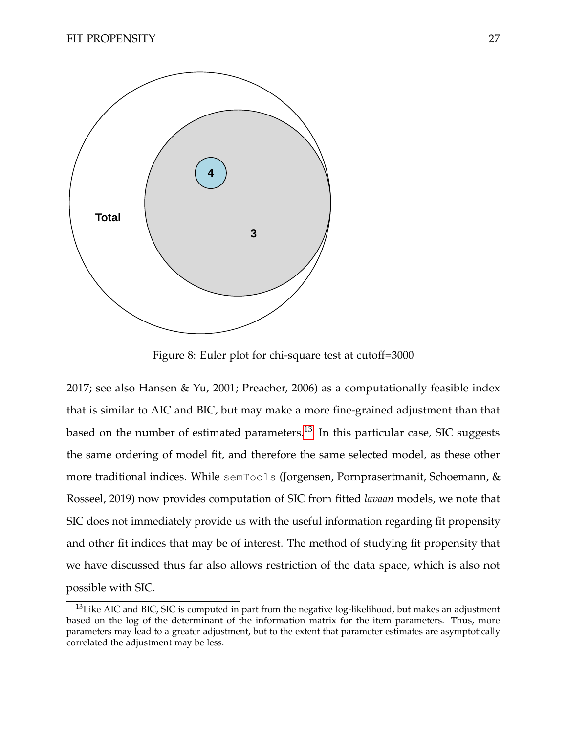

<span id="page-27-0"></span>Figure 8: Euler plot for chi-square test at cutoff=3000

2017; see also Hansen & Yu, 2001; Preacher, 2006) as a computationally feasible index that is similar to AIC and BIC, but may make a more fine-grained adjustment than that based on the number of estimated parameters.<sup>[13](#page-0-0)</sup> In this particular case, SIC suggests the same ordering of model fit, and therefore the same selected model, as these other more traditional indices. While semTools (Jorgensen, Pornprasertmanit, Schoemann, & Rosseel, 2019) now provides computation of SIC from fitted *lavaan* models, we note that SIC does not immediately provide us with the useful information regarding fit propensity and other fit indices that may be of interest. The method of studying fit propensity that we have discussed thus far also allows restriction of the data space, which is also not possible with SIC.

<sup>&</sup>lt;sup>13</sup>Like AIC and BIC, SIC is computed in part from the negative log-likelihood, but makes an adjustment based on the log of the determinant of the information matrix for the item parameters. Thus, more parameters may lead to a greater adjustment, but to the extent that parameter estimates are asymptotically correlated the adjustment may be less.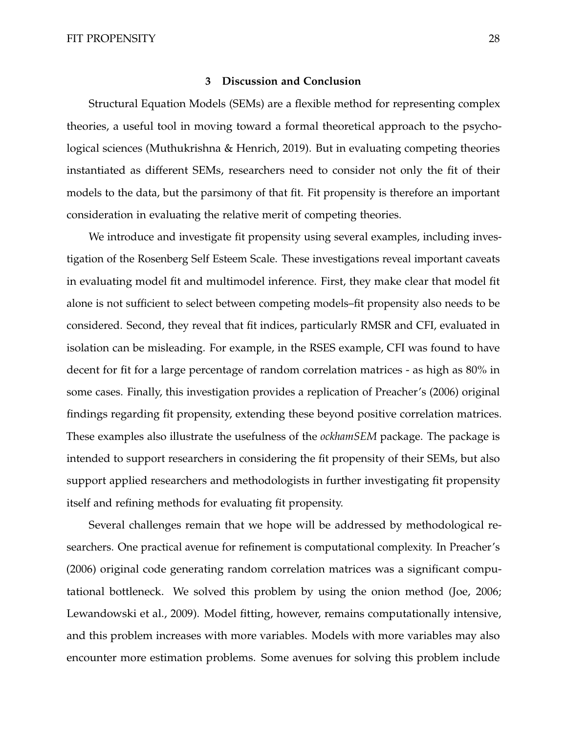#### **3 Discussion and Conclusion**

Structural Equation Models (SEMs) are a flexible method for representing complex theories, a useful tool in moving toward a formal theoretical approach to the psychological sciences (Muthukrishna & Henrich, 2019). But in evaluating competing theories instantiated as different SEMs, researchers need to consider not only the fit of their models to the data, but the parsimony of that fit. Fit propensity is therefore an important consideration in evaluating the relative merit of competing theories.

We introduce and investigate fit propensity using several examples, including investigation of the Rosenberg Self Esteem Scale. These investigations reveal important caveats in evaluating model fit and multimodel inference. First, they make clear that model fit alone is not sufficient to select between competing models–fit propensity also needs to be considered. Second, they reveal that fit indices, particularly RMSR and CFI, evaluated in isolation can be misleading. For example, in the RSES example, CFI was found to have decent for fit for a large percentage of random correlation matrices - as high as 80% in some cases. Finally, this investigation provides a replication of Preacher's (2006) original findings regarding fit propensity, extending these beyond positive correlation matrices. These examples also illustrate the usefulness of the *ockhamSEM* package. The package is intended to support researchers in considering the fit propensity of their SEMs, but also support applied researchers and methodologists in further investigating fit propensity itself and refining methods for evaluating fit propensity.

Several challenges remain that we hope will be addressed by methodological researchers. One practical avenue for refinement is computational complexity. In Preacher's (2006) original code generating random correlation matrices was a significant computational bottleneck. We solved this problem by using the onion method (Joe, 2006; Lewandowski et al., 2009). Model fitting, however, remains computationally intensive, and this problem increases with more variables. Models with more variables may also encounter more estimation problems. Some avenues for solving this problem include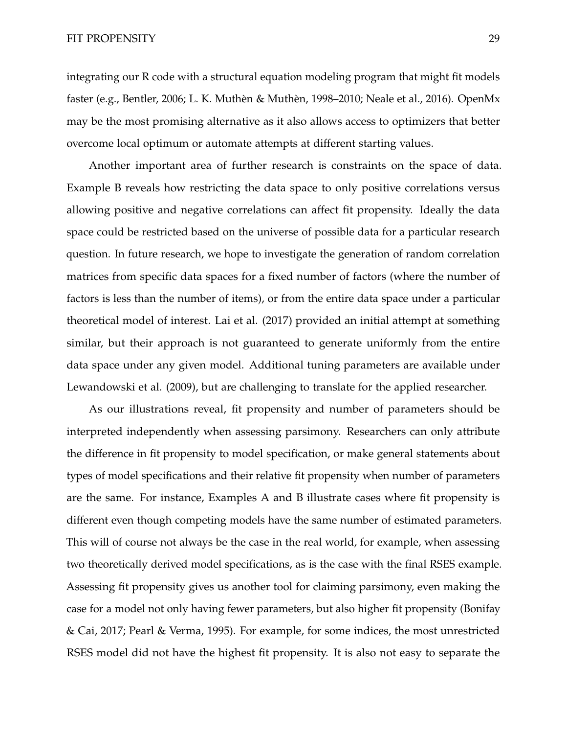integrating our R code with a structural equation modeling program that might fit models faster (e.g., Bentler, 2006; L. K. Muthèn & Muthèn, 1998–2010; Neale et al., 2016). OpenMx may be the most promising alternative as it also allows access to optimizers that better overcome local optimum or automate attempts at different starting values.

Another important area of further research is constraints on the space of data. Example B reveals how restricting the data space to only positive correlations versus allowing positive and negative correlations can affect fit propensity. Ideally the data space could be restricted based on the universe of possible data for a particular research question. In future research, we hope to investigate the generation of random correlation matrices from specific data spaces for a fixed number of factors (where the number of factors is less than the number of items), or from the entire data space under a particular theoretical model of interest. Lai et al. (2017) provided an initial attempt at something similar, but their approach is not guaranteed to generate uniformly from the entire data space under any given model. Additional tuning parameters are available under Lewandowski et al. (2009), but are challenging to translate for the applied researcher.

As our illustrations reveal, fit propensity and number of parameters should be interpreted independently when assessing parsimony. Researchers can only attribute the difference in fit propensity to model specification, or make general statements about types of model specifications and their relative fit propensity when number of parameters are the same. For instance, Examples A and B illustrate cases where fit propensity is different even though competing models have the same number of estimated parameters. This will of course not always be the case in the real world, for example, when assessing two theoretically derived model specifications, as is the case with the final RSES example. Assessing fit propensity gives us another tool for claiming parsimony, even making the case for a model not only having fewer parameters, but also higher fit propensity (Bonifay & Cai, 2017; Pearl & Verma, 1995). For example, for some indices, the most unrestricted RSES model did not have the highest fit propensity. It is also not easy to separate the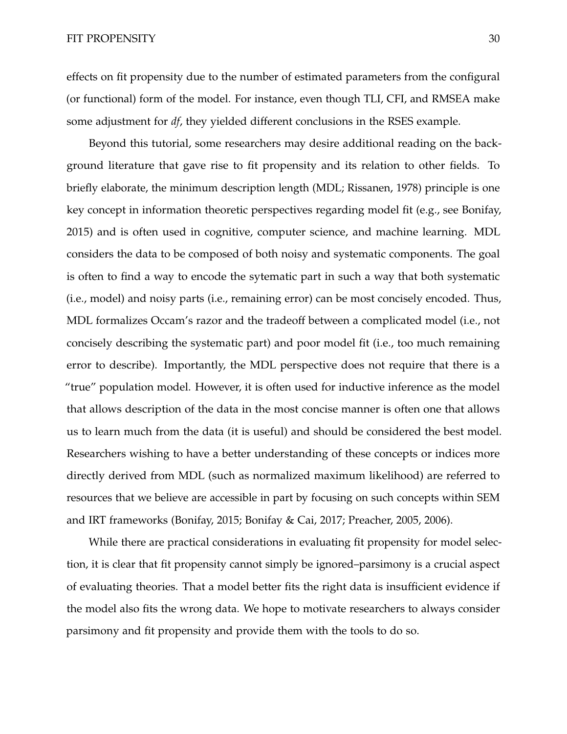effects on fit propensity due to the number of estimated parameters from the configural (or functional) form of the model. For instance, even though TLI, CFI, and RMSEA make some adjustment for *df*, they yielded different conclusions in the RSES example.

Beyond this tutorial, some researchers may desire additional reading on the background literature that gave rise to fit propensity and its relation to other fields. To briefly elaborate, the minimum description length (MDL; Rissanen, 1978) principle is one key concept in information theoretic perspectives regarding model fit (e.g., see Bonifay, 2015) and is often used in cognitive, computer science, and machine learning. MDL considers the data to be composed of both noisy and systematic components. The goal is often to find a way to encode the sytematic part in such a way that both systematic (i.e., model) and noisy parts (i.e., remaining error) can be most concisely encoded. Thus, MDL formalizes Occam's razor and the tradeoff between a complicated model (i.e., not concisely describing the systematic part) and poor model fit (i.e., too much remaining error to describe). Importantly, the MDL perspective does not require that there is a "true" population model. However, it is often used for inductive inference as the model that allows description of the data in the most concise manner is often one that allows us to learn much from the data (it is useful) and should be considered the best model. Researchers wishing to have a better understanding of these concepts or indices more directly derived from MDL (such as normalized maximum likelihood) are referred to resources that we believe are accessible in part by focusing on such concepts within SEM and IRT frameworks (Bonifay, 2015; Bonifay & Cai, 2017; Preacher, 2005, 2006).

While there are practical considerations in evaluating fit propensity for model selection, it is clear that fit propensity cannot simply be ignored–parsimony is a crucial aspect of evaluating theories. That a model better fits the right data is insufficient evidence if the model also fits the wrong data. We hope to motivate researchers to always consider parsimony and fit propensity and provide them with the tools to do so.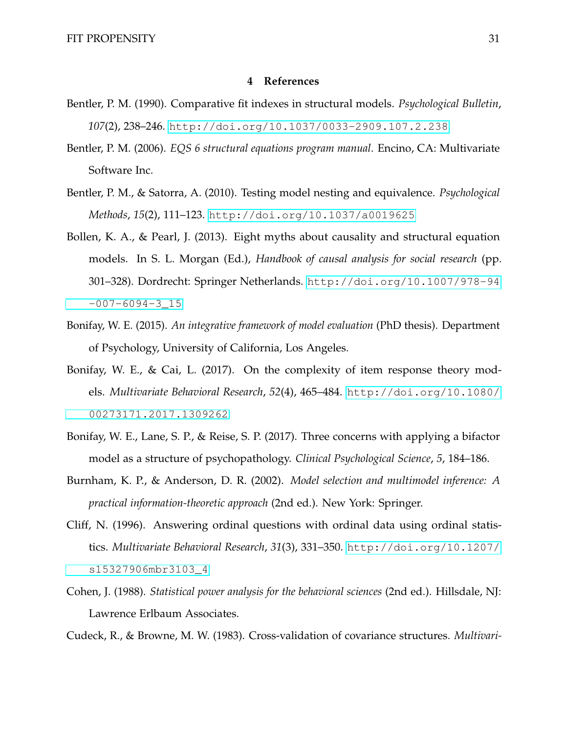#### **4 References**

- Bentler, P. M. (1990). Comparative fit indexes in structural models. *Psychological Bulletin*, *107*(2), 238–246. <http://doi.org/10.1037/0033-2909.107.2.238>
- Bentler, P. M. (2006). *EQS 6 structural equations program manual*. Encino, CA: Multivariate Software Inc.
- Bentler, P. M., & Satorra, A. (2010). Testing model nesting and equivalence. *Psychological Methods*, *15*(2), 111–123. <http://doi.org/10.1037/a0019625>
- Bollen, K. A., & Pearl, J. (2013). Eight myths about causality and structural equation models. In S. L. Morgan (Ed.), *Handbook of causal analysis for social research* (pp. 301–328). Dordrecht: Springer Netherlands. [http://doi.org/10.1007/978-94](http://doi.org/10.1007/978-94-007-6094-3_15)  $-007-6094-315$
- Bonifay, W. E. (2015). *An integrative framework of model evaluation* (PhD thesis). Department of Psychology, University of California, Los Angeles.
- Bonifay, W. E., & Cai, L. (2017). On the complexity of item response theory models. *Multivariate Behavioral Research*, *52*(4), 465–484. [http://doi.org/10.1080/](http://doi.org/10.1080/00273171.2017.1309262) [00273171.2017.1309262](http://doi.org/10.1080/00273171.2017.1309262)
- Bonifay, W. E., Lane, S. P., & Reise, S. P. (2017). Three concerns with applying a bifactor model as a structure of psychopathology. *Clinical Psychological Science*, *5*, 184–186.
- Burnham, K. P., & Anderson, D. R. (2002). *Model selection and multimodel inference: A practical information-theoretic approach* (2nd ed.). New York: Springer.
- Cliff, N. (1996). Answering ordinal questions with ordinal data using ordinal statistics. *Multivariate Behavioral Research*, *31*(3), 331–350. [http://doi.org/10.1207/](http://doi.org/10.1207/s15327906mbr3103_4) [s15327906mbr3103\\_4](http://doi.org/10.1207/s15327906mbr3103_4)
- Cohen, J. (1988). *Statistical power analysis for the behavioral sciences* (2nd ed.). Hillsdale, NJ: Lawrence Erlbaum Associates.

Cudeck, R., & Browne, M. W. (1983). Cross-validation of covariance structures. *Multivari-*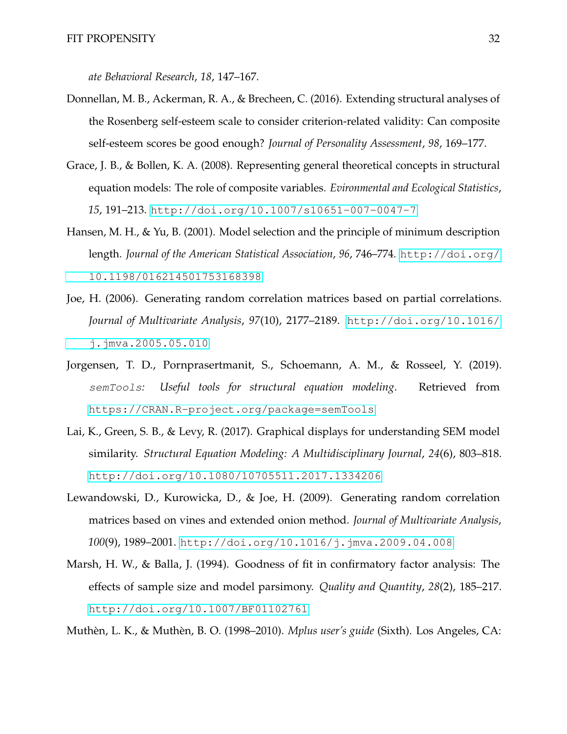*ate Behavioral Research*, *18*, 147–167.

- Donnellan, M. B., Ackerman, R. A., & Brecheen, C. (2016). Extending structural analyses of the Rosenberg self-esteem scale to consider criterion-related validity: Can composite self-esteem scores be good enough? *Journal of Personality Assessment*, *98*, 169–177.
- Grace, J. B., & Bollen, K. A. (2008). Representing general theoretical concepts in structural equation models: The role of composite variables. *Evironmental and Ecological Statistics*, *15*, 191–213. <http://doi.org/10.1007/s10651-007-0047-7>
- Hansen, M. H., & Yu, B. (2001). Model selection and the principle of minimum description length. *Journal of the American Statistical Association*, *96*, 746–774. [http://doi.org/](http://doi.org/10.1198/016214501753168398) [10.1198/016214501753168398](http://doi.org/10.1198/016214501753168398)
- Joe, H. (2006). Generating random correlation matrices based on partial correlations. *Journal of Multivariate Analysis*, *97*(10), 2177–2189. [http://doi.org/10.1016/](http://doi.org/10.1016/j.jmva.2005.05.010) [j.jmva.2005.05.010](http://doi.org/10.1016/j.jmva.2005.05.010)
- Jorgensen, T. D., Pornprasertmanit, S., Schoemann, A. M., & Rosseel, Y. (2019). semTools*: Useful tools for structural equation modeling*. Retrieved from <https://CRAN.R-project.org/package=semTools>
- Lai, K., Green, S. B., & Levy, R. (2017). Graphical displays for understanding SEM model similarity. *Structural Equation Modeling: A Multidisciplinary Journal*, *24*(6), 803–818. <http://doi.org/10.1080/10705511.2017.1334206>
- Lewandowski, D., Kurowicka, D., & Joe, H. (2009). Generating random correlation matrices based on vines and extended onion method. *Journal of Multivariate Analysis*, *100*(9), 1989–2001. <http://doi.org/10.1016/j.jmva.2009.04.008>
- Marsh, H. W., & Balla, J. (1994). Goodness of fit in confirmatory factor analysis: The effects of sample size and model parsimony. *Quality and Quantity*, *28*(2), 185–217. <http://doi.org/10.1007/BF01102761>

Muthèn, L. K., & Muthèn, B. O. (1998–2010). *Mplus user's guide* (Sixth). Los Angeles, CA: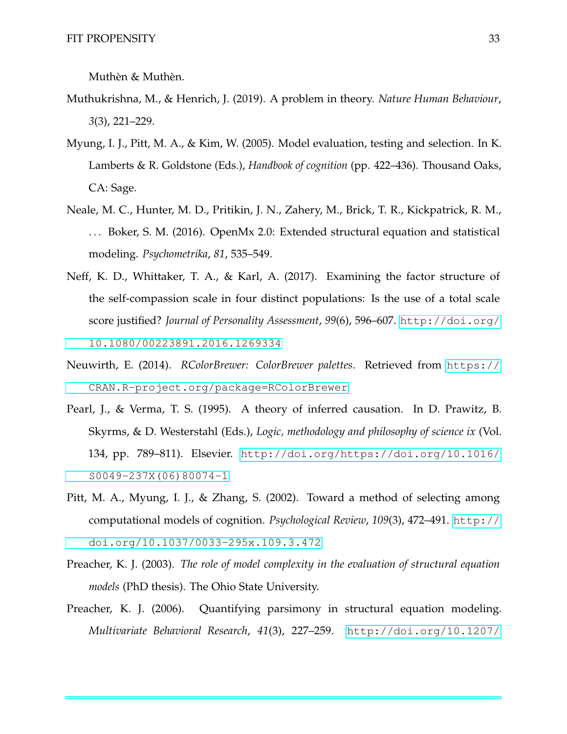Muthèn & Muthèn.

- Muthukrishna, M., & Henrich, J. (2019). A problem in theory. *Nature Human Behaviour*, *3*(3), 221–229.
- Myung, I. J., Pitt, M. A., & Kim, W. (2005). Model evaluation, testing and selection. In K. Lamberts & R. Goldstone (Eds.), *Handbook of cognition* (pp. 422–436). Thousand Oaks, CA: Sage.
- Neale, M. C., Hunter, M. D., Pritikin, J. N., Zahery, M., Brick, T. R., Kickpatrick, R. M., ... Boker, S. M. (2016). OpenMx 2.0: Extended structural equation and statistical modeling. *Psychometrika*, *81*, 535–549.
- Neff, K. D., Whittaker, T. A., & Karl, A. (2017). Examining the factor structure of the self-compassion scale in four distinct populations: Is the use of a total scale score justified? *Journal of Personality Assessment*, *99*(6), 596–607. [http://doi.org/](http://doi.org/10.1080/00223891.2016.1269334) [10.1080/00223891.2016.1269334](http://doi.org/10.1080/00223891.2016.1269334)
- Neuwirth, E. (2014). *RColorBrewer: ColorBrewer palettes*. Retrieved from [https://](https://CRAN.R-project.org/package=RColorBrewer) [CRAN.R-project.org/package=RColorBrewer](https://CRAN.R-project.org/package=RColorBrewer)
- Pearl, J., & Verma, T. S. (1995). A theory of inferred causation. In D. Prawitz, B. Skyrms, & D. Westerstahl (Eds.), *Logic, methodology and philosophy of science ix* (Vol. 134, pp. 789–811). Elsevier. [http://doi.org/https://doi.org/10.1016/](http://doi.org/https://doi.org/10.1016/S0049-237X(06)80074-1) [S0049-237X\(06\)80074-1](http://doi.org/https://doi.org/10.1016/S0049-237X(06)80074-1)
- Pitt, M. A., Myung, I. J., & Zhang, S. (2002). Toward a method of selecting among computational models of cognition. *Psychological Review*, *109*(3), 472–491. [http://](http://doi.org/10.1037/0033-295x.109.3.472) [doi.org/10.1037/0033-295x.109.3.472](http://doi.org/10.1037/0033-295x.109.3.472)
- Preacher, K. J. (2003). *The role of model complexity in the evaluation of structural equation models* (PhD thesis). The Ohio State University.
- Preacher, K. J. (2006). Quantifying parsimony in structural equation modeling. *Multivariate Behavioral Research*, *41*(3), 227–259. [http://doi.org/10.1207/](http://doi.org/10.1207/s15327906mbr4103_1)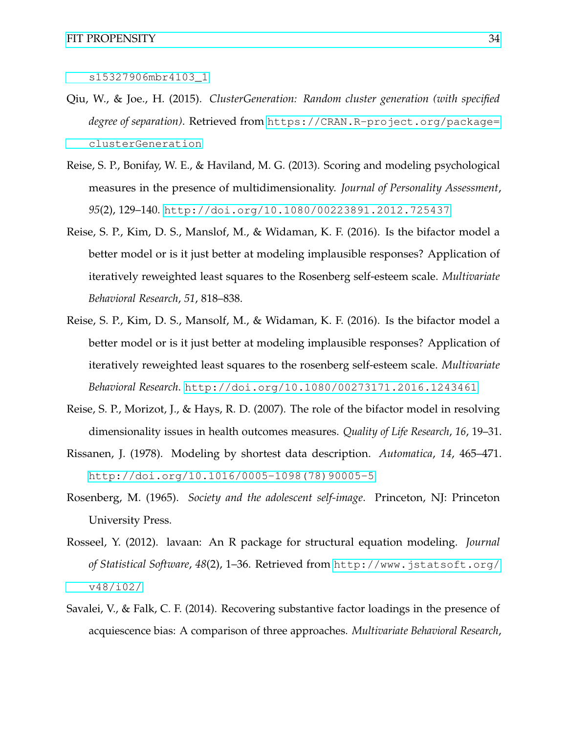- Qiu, W., & Joe., H. (2015). *ClusterGeneration: Random cluster generation (with specified degree of separation)*. Retrieved from [https://CRAN.R-project.org/package=](https://CRAN.R-project.org/package=clusterGeneration) [clusterGeneration](https://CRAN.R-project.org/package=clusterGeneration)
- Reise, S. P., Bonifay, W. E., & Haviland, M. G. (2013). Scoring and modeling psychological measures in the presence of multidimensionality. *Journal of Personality Assessment*, *95*(2), 129–140. <http://doi.org/10.1080/00223891.2012.725437>
- Reise, S. P., Kim, D. S., Manslof, M., & Widaman, K. F. (2016). Is the bifactor model a better model or is it just better at modeling implausible responses? Application of iteratively reweighted least squares to the Rosenberg self-esteem scale. *Multivariate Behavioral Research*, *51*, 818–838.
- Reise, S. P., Kim, D. S., Mansolf, M., & Widaman, K. F. (2016). Is the bifactor model a better model or is it just better at modeling implausible responses? Application of iteratively reweighted least squares to the rosenberg self-esteem scale. *Multivariate Behavioral Research*. <http://doi.org/10.1080/00273171.2016.1243461>
- Reise, S. P., Morizot, J., & Hays, R. D. (2007). The role of the bifactor model in resolving dimensionality issues in health outcomes measures. *Quality of Life Research*, *16*, 19–31.
- Rissanen, J. (1978). Modeling by shortest data description. *Automatica*, *14*, 465–471. [http://doi.org/10.1016/0005-1098\(78\)90005-5](http://doi.org/10.1016/0005-1098(78)90005-5)
- Rosenberg, M. (1965). *Society and the adolescent self-image*. Princeton, NJ: Princeton University Press.
- Rosseel, Y. (2012). lavaan: An R package for structural equation modeling. *Journal of Statistical Software*, *48*(2), 1–36. Retrieved from [http://www.jstatsoft.org/](http://www.jstatsoft.org/v48/i02/) [v48/i02/](http://www.jstatsoft.org/v48/i02/)
- Savalei, V., & Falk, C. F. (2014). Recovering substantive factor loadings in the presence of acquiescence bias: A comparison of three approaches. *Multivariate Behavioral Research*,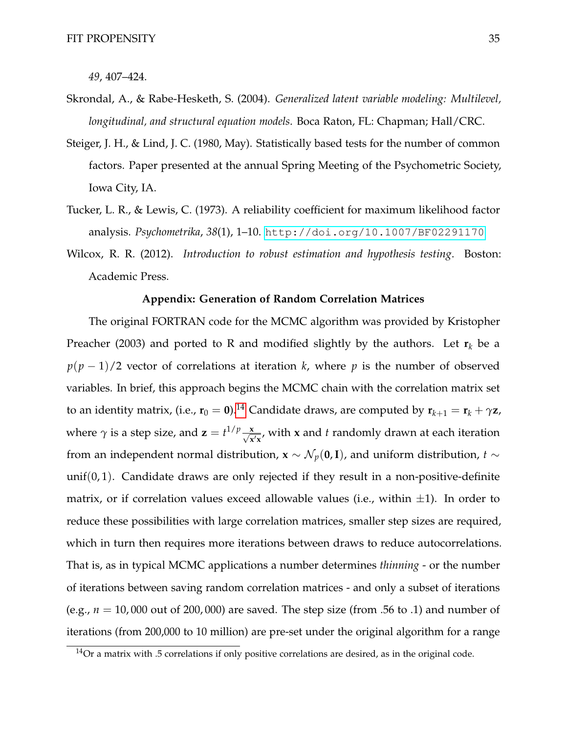*49*, 407–424.

- Skrondal, A., & Rabe-Hesketh, S. (2004). *Generalized latent variable modeling: Multilevel, longitudinal, and structural equation models*. Boca Raton, FL: Chapman; Hall/CRC.
- Steiger, J. H., & Lind, J. C. (1980, May). Statistically based tests for the number of common factors. Paper presented at the annual Spring Meeting of the Psychometric Society, Iowa City, IA.
- Tucker, L. R., & Lewis, C. (1973). A reliability coefficient for maximum likelihood factor analysis. *Psychometrika*, *38*(1), 1–10. <http://doi.org/10.1007/BF02291170>
- Wilcox, R. R. (2012). *Introduction to robust estimation and hypothesis testing*. Boston: Academic Press.

#### **Appendix: Generation of Random Correlation Matrices**

The original FORTRAN code for the MCMC algorithm was provided by Kristopher Preacher (2003) and ported to R and modified slightly by the authors. Let  $\mathbf{r}_k$  be a  $p(p-1)/2$  vector of correlations at iteration *k*, where *p* is the number of observed variables. In brief, this approach begins the MCMC chain with the correlation matrix set to an identity matrix, (i.e.,  $\mathbf{r}_0 = \mathbf{0}$ ).<sup>[14](#page-0-0)</sup> Candidate draws, are computed by  $\mathbf{r}_{k+1} = \mathbf{r}_k + \gamma \mathbf{z}$ , where  $\gamma$  is a step size, and  $\mathbf{z} = t^{1/p} \frac{\mathbf{x}}{\sqrt{\mathbf{x}}}$  $\frac{\mathbf{x}}{\mathbf{x}'\mathbf{x}}$ , with **x** and *t* randomly drawn at each iteration from an independent normal distribution, **x** ∼  $\mathcal{N}_p(\mathbf{0}, \mathbf{I})$ , and uniform distribution, *t* ∼ unif $(0, 1)$ . Candidate draws are only rejected if they result in a non-positive-definite matrix, or if correlation values exceed allowable values (i.e., within  $\pm 1$ ). In order to reduce these possibilities with large correlation matrices, smaller step sizes are required, which in turn then requires more iterations between draws to reduce autocorrelations. That is, as in typical MCMC applications a number determines *thinning* - or the number of iterations between saving random correlation matrices - and only a subset of iterations (e.g.,  $n = 10,000$  out of 200,000) are saved. The step size (from .56 to .1) and number of iterations (from 200,000 to 10 million) are pre-set under the original algorithm for a range

 $14$ Or a matrix with .5 correlations if only positive correlations are desired, as in the original code.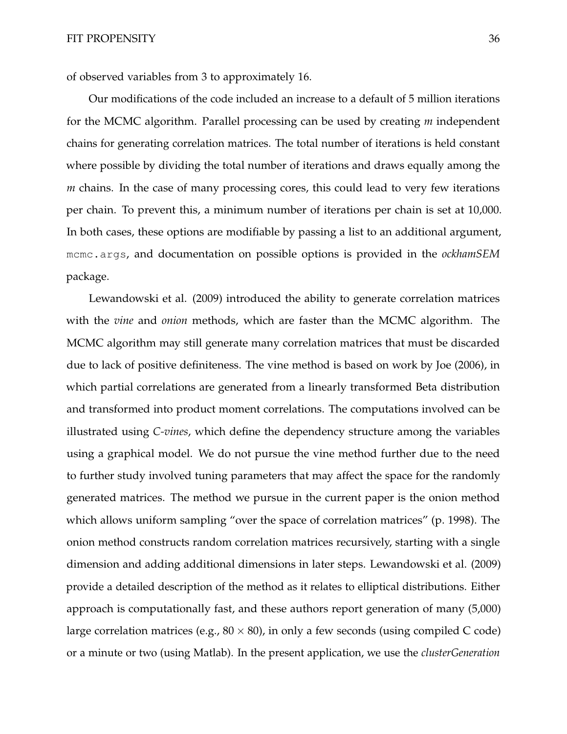of observed variables from 3 to approximately 16.

Our modifications of the code included an increase to a default of 5 million iterations for the MCMC algorithm. Parallel processing can be used by creating *m* independent chains for generating correlation matrices. The total number of iterations is held constant where possible by dividing the total number of iterations and draws equally among the *m* chains. In the case of many processing cores, this could lead to very few iterations per chain. To prevent this, a minimum number of iterations per chain is set at 10,000. In both cases, these options are modifiable by passing a list to an additional argument, mcmc.args, and documentation on possible options is provided in the *ockhamSEM* package.

Lewandowski et al. (2009) introduced the ability to generate correlation matrices with the *vine* and *onion* methods, which are faster than the MCMC algorithm. The MCMC algorithm may still generate many correlation matrices that must be discarded due to lack of positive definiteness. The vine method is based on work by Joe (2006), in which partial correlations are generated from a linearly transformed Beta distribution and transformed into product moment correlations. The computations involved can be illustrated using *C-vines*, which define the dependency structure among the variables using a graphical model. We do not pursue the vine method further due to the need to further study involved tuning parameters that may affect the space for the randomly generated matrices. The method we pursue in the current paper is the onion method which allows uniform sampling "over the space of correlation matrices" (p. 1998). The onion method constructs random correlation matrices recursively, starting with a single dimension and adding additional dimensions in later steps. Lewandowski et al. (2009) provide a detailed description of the method as it relates to elliptical distributions. Either approach is computationally fast, and these authors report generation of many (5,000) large correlation matrices (e.g.,  $80 \times 80$ ), in only a few seconds (using compiled C code) or a minute or two (using Matlab). In the present application, we use the *clusterGeneration*